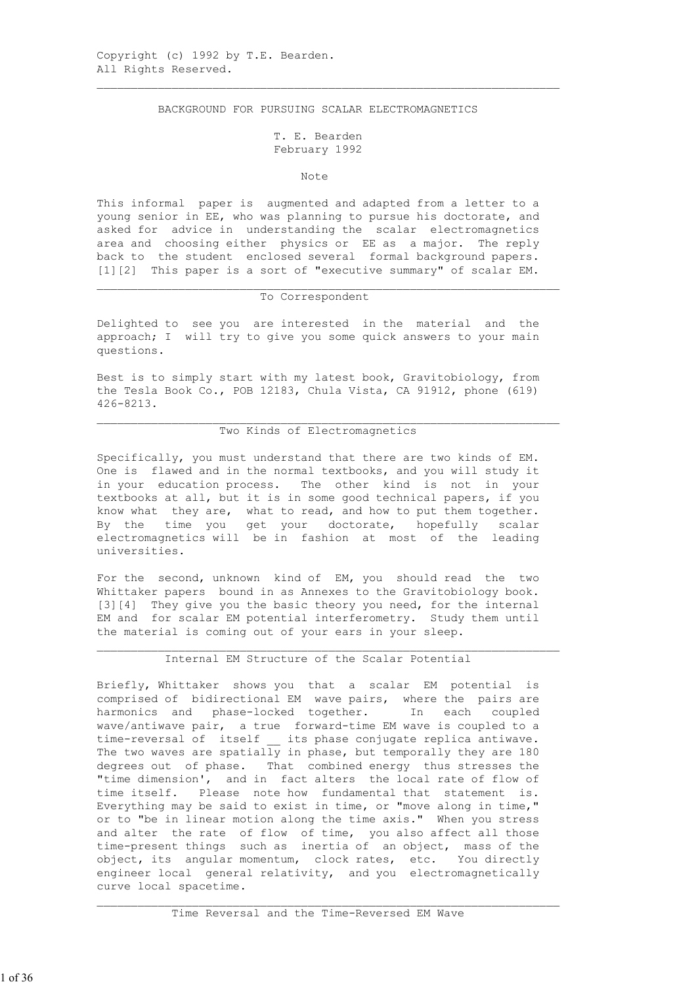BACKGROUND FOR PURSUING SCALAR ELECTROMAGNETICS

 $\mathcal{L}_\text{max}$  , and the contribution of the contribution of the contribution of the contribution of the contribution of the contribution of the contribution of the contribution of the contribution of the contribution of t

# T. E. Bearden February 1992

#### Note **Note**

 This informal paper is augmented and adapted from a letter to a young senior in EE, who was planning to pursue his doctorate, and asked for advice in understanding the scalar electromagnetics area and choosing either physics or EE as a major. The reply back to the student enclosed several formal background papers. [1][2] This paper is a sort of "executive summary" of scalar EM.

#### To Correspondent

 Delighted to see you are interested in the material and the approach; I will try to give you some quick answers to your main questions.

 Best is to simply start with my latest book, Gravitobiology, from the Tesla Book Co., POB 12183, Chula Vista, CA 91912, phone (619) 426-8213.

# Two Kinds of Electromagnetics

 $\mathcal{L}_\text{max}$  , and the contribution of the contribution of the contribution of the contribution of the contribution of the contribution of the contribution of the contribution of the contribution of the contribution of t

 Specifically, you must understand that there are two kinds of EM. One is flawed and in the normal textbooks, and you will study it in your education process. The other kind is not in your textbooks at all, but it is in some good technical papers, if you know what they are, what to read, and how to put them together. By the time you get your doctorate, hopefully scalar electromagnetics will be in fashion at most of the leading universities.

 For the second, unknown kind of EM, you should read the two Whittaker papers bound in as Annexes to the Gravitobiology book. [3][4] They give you the basic theory you need, for the internal EM and for scalar EM potential interferometry. Study them until the material is coming out of your ears in your sleep.

# Internal EM Structure of the Scalar Potential

 $\mathcal{L}_\text{max}$  , and the contribution of the contribution of the contribution of the contribution of the contribution of the contribution of the contribution of the contribution of the contribution of the contribution of t

 Briefly, Whittaker shows you that a scalar EM potential is comprised of bidirectional EM wave pairs, where the pairs are harmonics and phase-locked together. In each coupled wave/antiwave pair, a true forward-time EM wave is coupled to a time-reversal of itself \_\_ its phase conjugate replica antiwave. The two waves are spatially in phase, but temporally they are 180 degrees out of phase. That combined energy thus stresses the "time dimension', and in fact alters the local rate of flow of time itself. Please note how fundamental that statement is. Everything may be said to exist in time, or "move along in time," or to "be in linear motion along the time axis." When you stress and alter the rate of flow of time, you also affect all those time-present things such as inertia of an object, mass of the object, its angular momentum, clock rates, etc. You directly engineer local general relativity, and you electromagnetically curve local spacetime.

 $\mathcal{L}_\text{max}$  , and the contribution of the contribution of the contribution of the contribution of the contribution of the contribution of the contribution of the contribution of the contribution of the contribution of t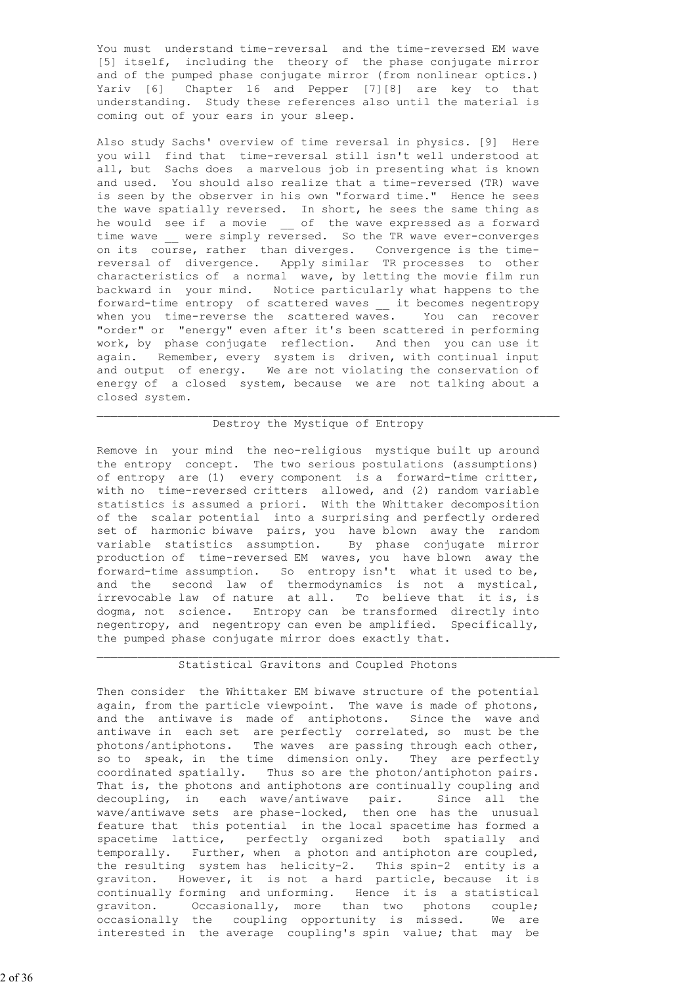You must understand time-reversal and the time-reversed EM wave [5] itself, including the theory of the phase conjugate mirror and of the pumped phase conjugate mirror (from nonlinear optics.) Yariv [6] Chapter 16 and Pepper [7][8] are key to that understanding. Study these references also until the material is coming out of your ears in your sleep.

 Also study Sachs' overview of time reversal in physics. [9] Here you will find that time-reversal still isn't well understood at all, but Sachs does a marvelous job in presenting what is known and used. You should also realize that a time-reversed (TR) wave is seen by the observer in his own "forward time." Hence he sees the wave spatially reversed. In short, he sees the same thing as he would see if a movie \_ of the wave expressed as a forward time wave were simply reversed. So the TR wave ever-converges on its course, rather than diverges. Convergence is the time reversal of divergence. Apply similar TR processes to other characteristics of a normal wave, by letting the movie film run backward in your mind. Notice particularly what happens to the forward-time entropy of scattered waves \_\_ it becomes negentropy when you time-reverse the scattered waves. You can recover "order" or "energy" even after it's been scattered in performing work, by phase conjugate reflection. And then you can use it again. Remember, every system is driven, with continual input and output of energy. We are not violating the conservation of energy of a closed system, because we are not talking about a closed system.

### Destroy the Mystique of Entropy

 $\mathcal{L}_\text{max}$  , and the contribution of the contribution of the contribution of the contribution of the contribution of the contribution of the contribution of the contribution of the contribution of the contribution of t

 Remove in your mind the neo-religious mystique built up around the entropy concept. The two serious postulations (assumptions) of entropy are (1) every component is a forward-time critter, with no time-reversed critters allowed, and (2) random variable statistics is assumed a priori. With the Whittaker decomposition of the scalar potential into a surprising and perfectly ordered set of harmonic biwave pairs, you have blown away the random variable statistics assumption. By phase conjugate mirror production of time-reversed EM waves, you have blown away the forward-time assumption. So entropy isn't what it used to be, and the second law of thermodynamics is not a mystical, irrevocable law of nature at all. To believe that it is, is dogma, not science. Entropy can be transformed directly into negentropy, and negentropy can even be amplified. Specifically, the pumped phase conjugate mirror does exactly that.

#### Statistical Gravitons and Coupled Photons

 $\mathcal{L}_\text{max}$  , and the contribution of the contribution of the contribution of the contribution of the contribution of the contribution of the contribution of the contribution of the contribution of the contribution of t

 Then consider the Whittaker EM biwave structure of the potential again, from the particle viewpoint. The wave is made of photons, and the antiwave is made of antiphotons. Since the wave and antiwave in each set are perfectly correlated, so must be the photons/antiphotons. The waves are passing through each other, so to speak, in the time dimension only. They are perfectly coordinated spatially. Thus so are the photon/antiphoton pairs. That is, the photons and antiphotons are continually coupling and decoupling, in each wave/antiwave pair. Since all the wave/antiwave sets are phase-locked, then one has the unusual feature that this potential in the local spacetime has formed a spacetime lattice, perfectly organized both spatially and temporally. Further, when a photon and antiphoton are coupled, the resulting system has helicity-2. This spin-2 entity is a graviton. However, it is not a hard particle, because it is continually forming and unforming. Hence it is a statistical graviton. Occasionally, more than two photons couple; occasionally the coupling opportunity is missed. We are interested in the average coupling's spin value; that may be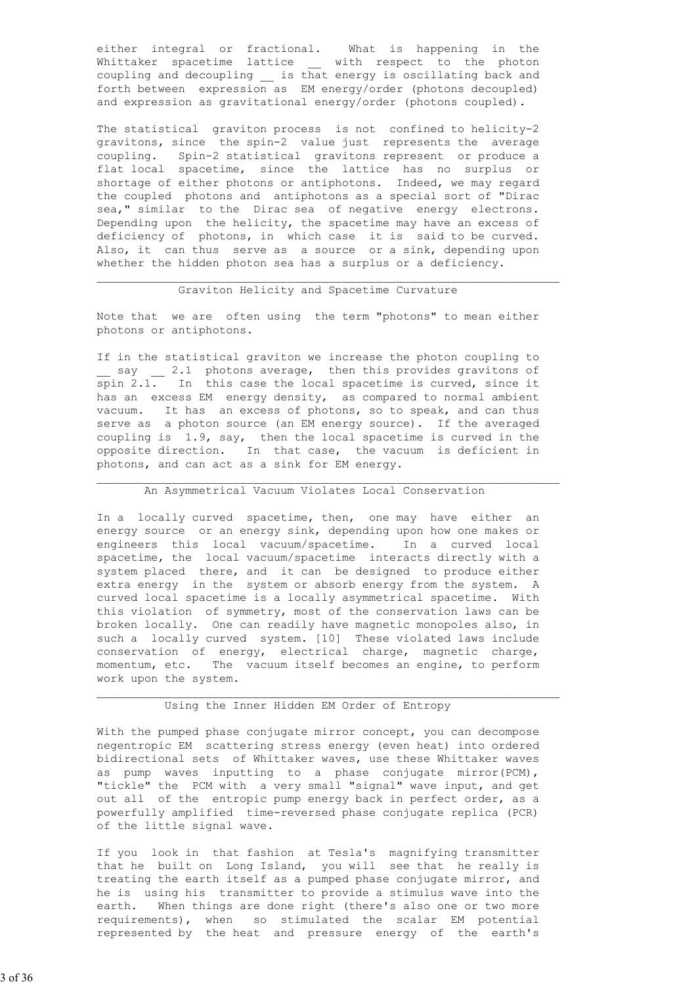either integral or fractional. What is happening in the Whittaker spacetime lattice \_ with respect to the photon coupling and decoupling  $\overline{\phantom{a}}$  is that energy is oscillating back and forth between expression as EM energy/order (photons decoupled) and expression as gravitational energy/order (photons coupled).

 The statistical graviton process is not confined to helicity-2 gravitons, since the spin-2 value just represents the average coupling. Spin-2 statistical gravitons represent or produce a flat local spacetime, since the lattice has no surplus or shortage of either photons or antiphotons. Indeed, we may regard the coupled photons and antiphotons as a special sort of "Dirac sea," similar to the Dirac sea of negative energy electrons. Depending upon the helicity, the spacetime may have an excess of deficiency of photons, in which case it is said to be curved. Also, it can thus serve as a source or a sink, depending upon whether the hidden photon sea has a surplus or a deficiency.

# Graviton Helicity and Spacetime Curvature

 Note that we are often using the term "photons" to mean either photons or antiphotons.

 If in the statistical graviton we increase the photon coupling to \_ say \_\_ 2.1 photons average, then this provides gravitons of spin 2.1. In this case the local spacetime is curved, since it has an excess EM energy density, as compared to normal ambient vacuum. It has an excess of photons, so to speak, and can thus serve as a photon source (an EM energy source). If the averaged coupling is 1.9, say, then the local spacetime is curved in the opposite direction. In that case, the vacuum is deficient in photons, and can act as a sink for EM energy.

### An Asymmetrical Vacuum Violates Local Conservation

 In a locally curved spacetime, then, one may have either an energy source or an energy sink, depending upon how one makes or engineers this local vacuum/spacetime. In a curved local spacetime, the local vacuum/spacetime interacts directly with a system placed there, and it can be designed to produce either extra energy in the system or absorb energy from the system. A curved local spacetime is a locally asymmetrical spacetime. With this violation of symmetry, most of the conservation laws can be broken locally. One can readily have magnetic monopoles also, in such a locally curved system. [10] These violated laws include conservation of energy, electrical charge, magnetic charge, momentum, etc. The vacuum itself becomes an engine, to perform work upon the system.

#### Using the Inner Hidden EM Order of Entropy

With the pumped phase conjugate mirror concept, you can decompose negentropic EM scattering stress energy (even heat) into ordered bidirectional sets of Whittaker waves, use these Whittaker waves as pump waves inputting to a phase conjugate mirror(PCM), "tickle" the PCM with a very small "signal" wave input, and get out all of the entropic pump energy back in perfect order, as a powerfully amplified time-reversed phase conjugate replica (PCR) of the little signal wave.

 If you look in that fashion at Tesla's magnifying transmitter that he built on Long Island, you will see that he really is treating the earth itself as a pumped phase conjugate mirror, and he is using his transmitter to provide a stimulus wave into the earth. When things are done right (there's also one or two more requirements), when so stimulated the scalar EM potential represented by the heat and pressure energy of the earth's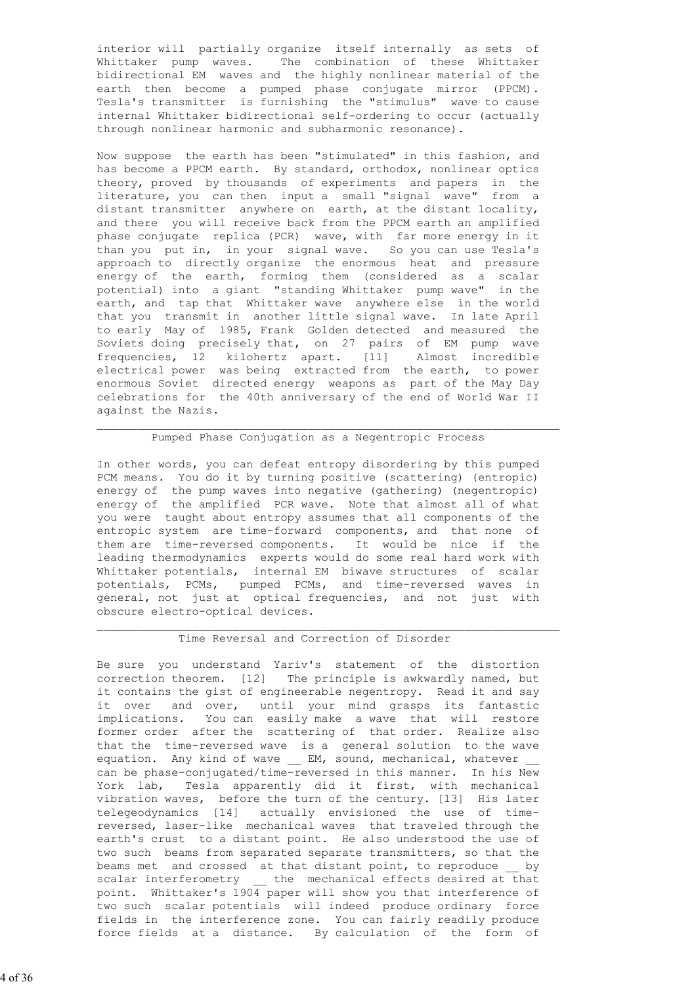interior will partially organize itself internally as sets of Whittaker pump waves. The combination of these Whittaker bidirectional EM waves and the highly nonlinear material of the earth then become a pumped phase conjugate mirror (PPCM). Tesla's transmitter is furnishing the "stimulus" wave to cause internal Whittaker bidirectional self-ordering to occur (actually through nonlinear harmonic and subharmonic resonance).

 Now suppose the earth has been "stimulated" in this fashion, and has become a PPCM earth. By standard, orthodox, nonlinear optics theory, proved by thousands of experiments and papers in the literature, you can then input a small "signal wave" from a distant transmitter anywhere on earth, at the distant locality, and there you will receive back from the PPCM earth an amplified phase conjugate replica (PCR) wave, with far more energy in it than you put in, in your signal wave. So you can use Tesla's approach to directly organize the enormous heat and pressure energy of the earth, forming them (considered as a scalar potential) into a giant "standing Whittaker pump wave" in the earth, and tap that Whittaker wave anywhere else in the world that you transmit in another little signal wave. In late April to early May of 1985, Frank Golden detected and measured the Soviets doing precisely that, on 27 pairs of EM pump wave frequencies, 12 kilohertz apart. [11] Almost incredible electrical power was being extracted from the earth, to power enormous Soviet directed energy weapons as part of the May Day celebrations for the 40th anniversary of the end of World War II against the Nazis.

#### Pumped Phase Conjugation as a Negentropic Process

 In other words, you can defeat entropy disordering by this pumped PCM means. You do it by turning positive (scattering) (entropic) energy of the pump waves into negative (gathering) (negentropic) energy of the amplified PCR wave. Note that almost all of what you were taught about entropy assumes that all components of the entropic system are time-forward components, and that none of them are time-reversed components. It would be nice if the leading thermodynamics experts would do some real hard work with Whittaker potentials, internal EM biwave structures of scalar potentials, PCMs, pumped PCMs, and time-reversed waves in general, not just at optical frequencies, and not just with obscure electro-optical devices.

# Time Reversal and Correction of Disorder

 Be sure you understand Yariv's statement of the distortion correction theorem. [12] The principle is awkwardly named, but it contains the gist of engineerable negentropy. Read it and say it over and over, until your mind grasps its fantastic implications. You can easily make a wave that will restore former order after the scattering of that order. Realize also that the time-reversed wave is a general solution to the wave equation. Any kind of wave \_\_ EM, sound, mechanical, whatever can be phase-conjugated/time-reversed in this manner. In his New York lab, Tesla apparently did it first, with mechanical vibration waves, before the turn of the century. [13] His later telegeodynamics [14] actually envisioned the use of time reversed, laser-like mechanical waves that traveled through the earth's crust to a distant point. He also understood the use of two such beams from separated separate transmitters, so that the beams met and crossed at that distant point, to reproduce \_\_ by scalar interferometry the mechanical effects desired at that point. Whittaker's 1904 paper will show you that interference of two such scalar potentials will indeed produce ordinary force fields in the interference zone. You can fairly readily produce force fields at a distance. By calculation of the form of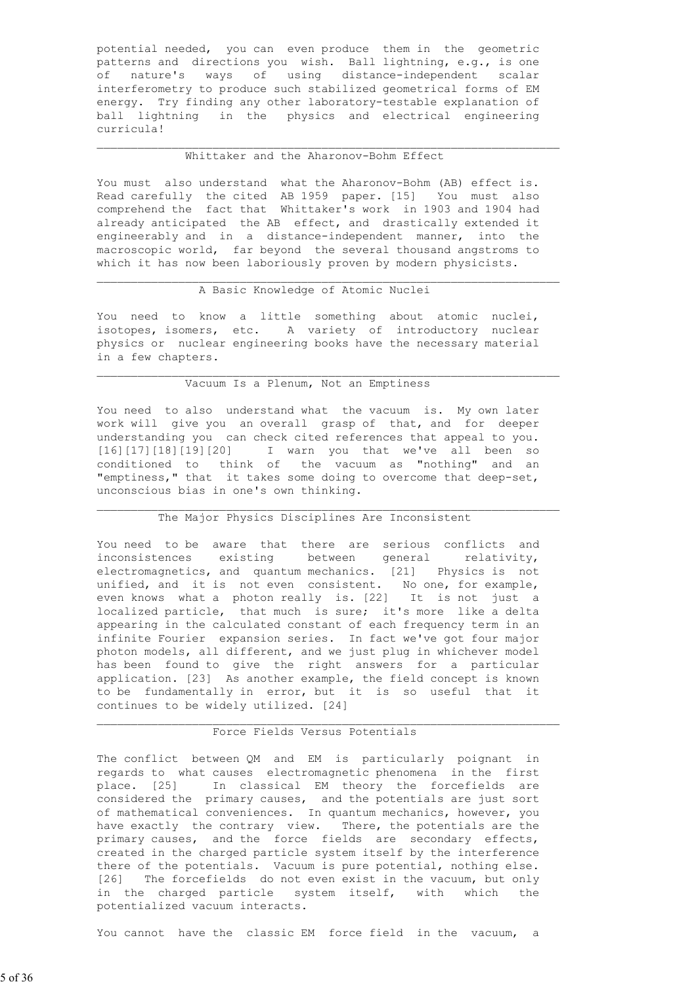potential needed, you can even produce them in the geometric patterns and directions you wish. Ball lightning, e.g., is one of nature's ways of using distance-independent scalar interferometry to produce such stabilized geometrical forms of EM energy. Try finding any other laboratory-testable explanation of ball lightning in the physics and electrical engineering curricula!

# Whittaker and the Aharonov-Bohm Effect

 $\mathcal{L}_\text{max}$  , and the contribution of the contribution of the contribution of the contribution of the contribution of the contribution of the contribution of the contribution of the contribution of the contribution of t

 You must also understand what the Aharonov-Bohm (AB) effect is. Read carefully the cited AB 1959 paper. [15] You must also comprehend the fact that Whittaker's work in 1903 and 1904 had already anticipated the AB effect, and drastically extended it engineerably and in a distance-independent manner, into the macroscopic world, far beyond the several thousand angstroms to which it has now been laboriously proven by modern physicists.

### A Basic Knowledge of Atomic Nuclei

 You need to know a little something about atomic nuclei, isotopes, isomers, etc. A variety of introductory nuclear physics or nuclear engineering books have the necessary material in a few chapters.

### Vacuum Is a Plenum, Not an Emptiness

 You need to also understand what the vacuum is. My own later work will give you an overall grasp of that, and for deeper understanding you can check cited references that appeal to you. [16][17][18][19][20] I warn you that we've all been so conditioned to think of the vacuum as "nothing" and an "emptiness," that it takes some doing to overcome that deep-set, unconscious bias in one's own thinking.

# The Major Physics Disciplines Are Inconsistent

 $\mathcal{L}_\text{max}$ 

 You need to be aware that there are serious conflicts and inconsistences existing between general relativity, electromagnetics, and quantum mechanics. [21] Physics is not unified, and it is not even consistent. No one, for example, even knows what a photon really is. [22] It is not just a localized particle, that much is sure; it's more like a delta appearing in the calculated constant of each frequency term in an infinite Fourier expansion series. In fact we've got four major photon models, all different, and we just plug in whichever model has been found to give the right answers for a particular application. [23] As another example, the field concept is known to be fundamentally in error, but it is so useful that it continues to be widely utilized. [24]

#### Force Fields Versus Potentials

 $\mathcal{L}_\text{max}$  , and the contribution of the contribution of the contribution of the contribution of the contribution of the contribution of the contribution of the contribution of the contribution of the contribution of t

 The conflict between QM and EM is particularly poignant in regards to what causes electromagnetic phenomena in the first place. [25] In classical EM theory the forcefields are considered the primary causes, and the potentials are just sort of mathematical conveniences. In quantum mechanics, however, you have exactly the contrary view. There, the potentials are the primary causes, and the force fields are secondary effects, created in the charged particle system itself by the interference there of the potentials. Vacuum is pure potential, nothing else. [26] The forcefields do not even exist in the vacuum, but only in the charged particle system itself, with which the potentialized vacuum interacts.

You cannot have the classic EM force field in the vacuum, a

5 of 36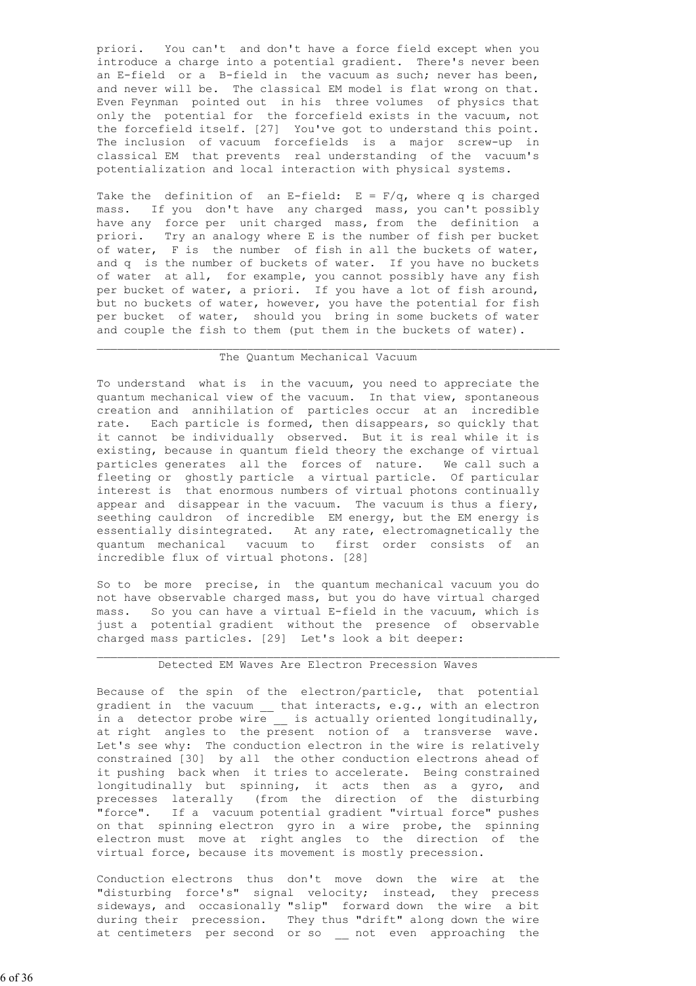priori. You can't and don't have a force field except when you introduce a charge into a potential gradient. There's never been an E-field or a B-field in the vacuum as such; never has been, and never will be. The classical EM model is flat wrong on that. Even Feynman pointed out in his three volumes of physics that only the potential for the forcefield exists in the vacuum, not the forcefield itself. [27] You've got to understand this point. The inclusion of vacuum forcefields is a major screw-up in classical EM that prevents real understanding of the vacuum's potentialization and local interaction with physical systems.

Take the definition of an E-field:  $E = F/q$ , where q is charged mass. If you don't have any charged mass, you can't possibly have any force per unit charged mass, from the definition a priori. Try an analogy where E is the number of fish per bucket of water, F is the number of fish in all the buckets of water, and q is the number of buckets of water. If you have no buckets of water at all, for example, you cannot possibly have any fish per bucket of water, a priori. If you have a lot of fish around, but no buckets of water, however, you have the potential for fish per bucket of water, should you bring in some buckets of water and couple the fish to them (put them in the buckets of water).

#### The Quantum Mechanical Vacuum

 $\mathcal{L}_\text{max}$  , and the contribution of the contribution of the contribution of the contribution of the contribution of the contribution of the contribution of the contribution of the contribution of the contribution of t

 To understand what is in the vacuum, you need to appreciate the quantum mechanical view of the vacuum. In that view, spontaneous creation and annihilation of particles occur at an incredible rate. Each particle is formed, then disappears, so quickly that it cannot be individually observed. But it is real while it is existing, because in quantum field theory the exchange of virtual particles generates all the forces of nature. We call such a fleeting or ghostly particle a virtual particle. Of particular interest is that enormous numbers of virtual photons continually appear and disappear in the vacuum. The vacuum is thus a fiery, seething cauldron of incredible EM energy, but the EM energy is essentially disintegrated. At any rate, electromagnetically the quantum mechanical vacuum to first order consists of an incredible flux of virtual photons. [28]

 So to be more precise, in the quantum mechanical vacuum you do not have observable charged mass, but you do have virtual charged mass. So you can have a virtual E-field in the vacuum, which is just a potential gradient without the presence of observable charged mass particles. [29] Let's look a bit deeper:

# Detected EM Waves Are Electron Precession Waves

 $\mathcal{L}_\text{max}$  , and the contribution of the contribution of the contribution of the contribution of the contribution of the contribution of the contribution of the contribution of the contribution of the contribution of t

 Because of the spin of the electron/particle, that potential gradient in the vacuum \_\_ that interacts, e.g., with an electron in a detector probe wire \_\_ is actually oriented longitudinally, at right angles to the present notion of a transverse wave. Let's see why: The conduction electron in the wire is relatively constrained [30] by all the other conduction electrons ahead of it pushing back when it tries to accelerate. Being constrained longitudinally but spinning, it acts then as a gyro, and precesses laterally (from the direction of the disturbing "force". If a vacuum potential gradient "virtual force" pushes on that spinning electron gyro in a wire probe, the spinning electron must move at right angles to the direction of the virtual force, because its movement is mostly precession.

 Conduction electrons thus don't move down the wire at the "disturbing force's" signal velocity; instead, they precess sideways, and occasionally "slip" forward down the wire a bit during their precession. They thus "drift" along down the wire at centimeters per second or so \_\_ not even approaching the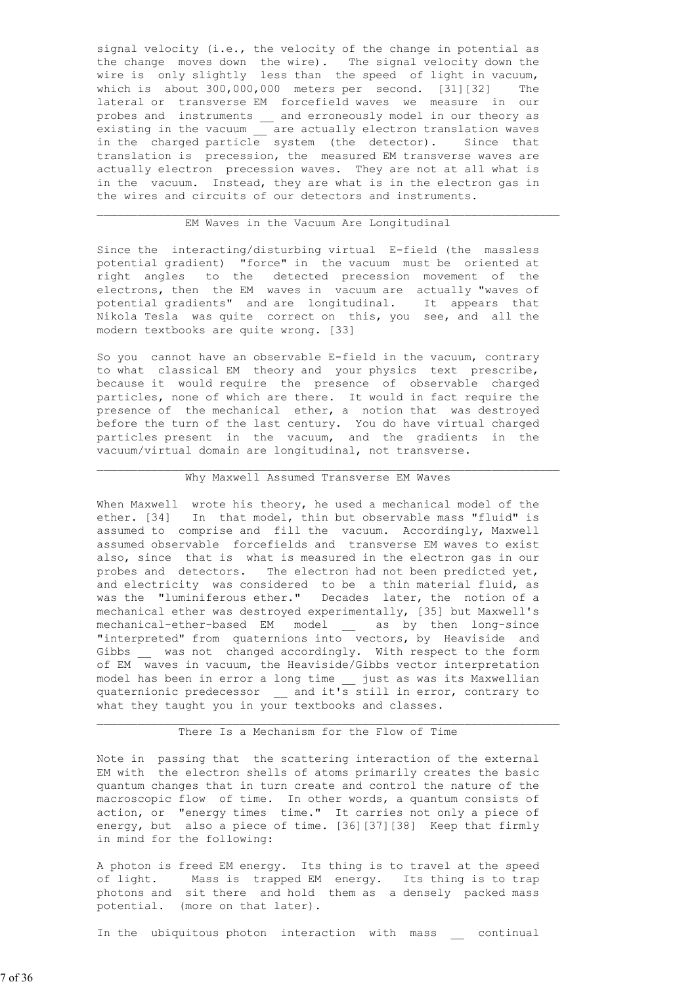signal velocity (i.e., the velocity of the change in potential as the change moves down the wire). The signal velocity down the wire is only slightly less than the speed of light in vacuum, which is about 300,000,000 meters per second. [31][32] The lateral or transverse EM forcefield waves we measure in our probes and instruments \_\_ and erroneously model in our theory as existing in the vacuum \_\_ are actually electron translation waves in the charged particle system (the detector). Since that translation is precession, the measured EM transverse waves are actually electron precession waves. They are not at all what is in the vacuum. Instead, they are what is in the electron gas in the wires and circuits of our detectors and instruments.

# EM Waves in the Vacuum Are Longitudinal

 $\mathcal{L}_\text{max}$  , and the contribution of the contribution of the contribution of the contribution of the contribution of the contribution of the contribution of the contribution of the contribution of the contribution of t

 Since the interacting/disturbing virtual E-field (the massless potential gradient) "force" in the vacuum must be oriented at right angles to the detected precession movement of the electrons, then the EM waves in vacuum are actually "waves of potential gradients" and are longitudinal. It appears that Nikola Tesla was quite correct on this, you see, and all the modern textbooks are quite wrong. [33]

 So you cannot have an observable E-field in the vacuum, contrary to what classical EM theory and your physics text prescribe, because it would require the presence of observable charged particles, none of which are there. It would in fact require the presence of the mechanical ether, a notion that was destroyed before the turn of the last century. You do have virtual charged particles present in the vacuum, and the gradients in the vacuum/virtual domain are longitudinal, not transverse.

#### Why Maxwell Assumed Transverse EM Waves

 $\mathcal{L}_\text{max}$  , and the contribution of the contribution of the contribution of the contribution of the contribution of the contribution of the contribution of the contribution of the contribution of the contribution of t

 When Maxwell wrote his theory, he used a mechanical model of the ether. [34] In that model, thin but observable mass "fluid" is assumed to comprise and fill the vacuum. Accordingly, Maxwell assumed observable forcefields and transverse EM waves to exist also, since that is what is measured in the electron gas in our probes and detectors. The electron had not been predicted yet, and electricity was considered to be a thin material fluid, as was the "luminiferous ether." Decades later, the notion of a mechanical ether was destroyed experimentally, [35] but Maxwell's mechanical-ether-based EM model \_\_ as by then long-since "interpreted" from quaternions into vectors, by Heaviside and Gibbs \_ was not changed accordingly. With respect to the form of EM waves in vacuum, the Heaviside/Gibbs vector interpretation model has been in error a long time \_\_ just as was its Maxwellian quaternionic predecessor \_\_ and it's still in error, contrary to what they taught you in your textbooks and classes.

#### There Is a Mechanism for the Flow of Time

 $\mathcal{L}_\text{max}$  , and the contribution of the contribution of the contribution of the contribution of the contribution of the contribution of the contribution of the contribution of the contribution of the contribution of t

 Note in passing that the scattering interaction of the external EM with the electron shells of atoms primarily creates the basic quantum changes that in turn create and control the nature of the macroscopic flow of time. In other words, a quantum consists of action, or "energy times time." It carries not only a piece of energy, but also a piece of time. [36][37][38] Keep that firmly in mind for the following:

 A photon is freed EM energy. Its thing is to travel at the speed of light. Mass is trapped EM energy. Its thing is to trap photons and sit there and hold them as a densely packed mass potential. (more on that later).

In the ubiquitous photon interaction with mass continual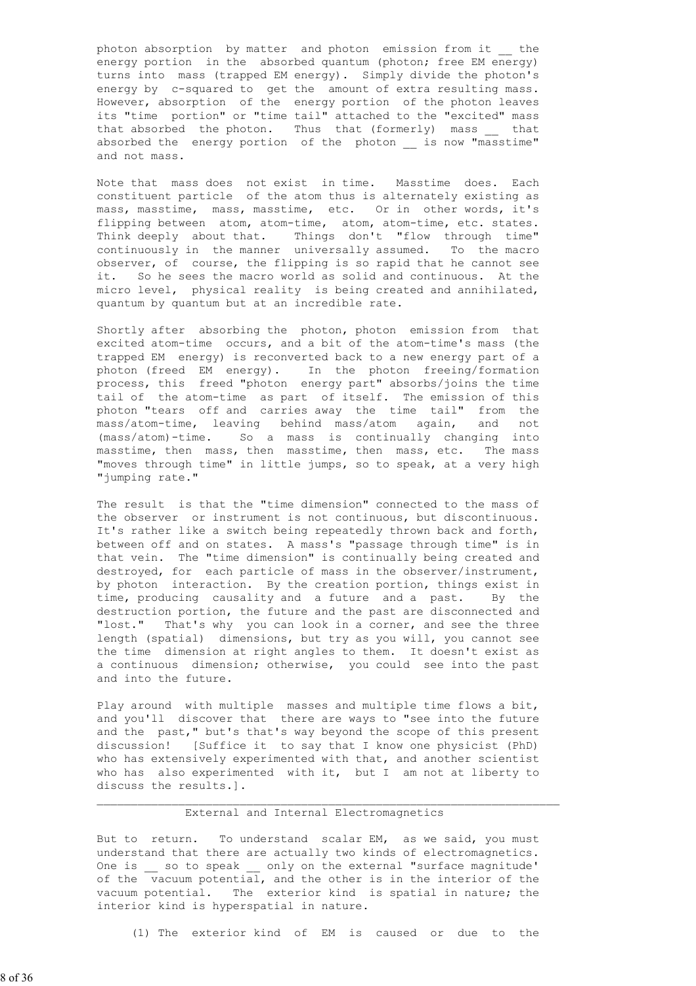photon absorption by matter and photon emission from it \_\_ the energy portion in the absorbed quantum (photon; free EM energy) turns into mass (trapped EM energy). Simply divide the photon's energy by c-squared to get the amount of extra resulting mass. However, absorption of the energy portion of the photon leaves its "time portion" or "time tail" attached to the "excited" mass that absorbed the photon. Thus that (formerly) mass that absorbed the energy portion of the photon is now "masstime" and not mass.

 Note that mass does not exist in time. Masstime does. Each constituent particle of the atom thus is alternately existing as mass, masstime, mass, masstime, etc. Or in other words, it's flipping between atom, atom-time, atom, atom-time, etc. states. Think deeply about that. Things don't "flow through time" continuously in the manner universally assumed. To the macro observer, of course, the flipping is so rapid that he cannot see it. So he sees the macro world as solid and continuous. At the micro level, physical reality is being created and annihilated, quantum by quantum but at an incredible rate.

 Shortly after absorbing the photon, photon emission from that excited atom-time occurs, and a bit of the atom-time's mass (the trapped EM energy) is reconverted back to a new energy part of a photon (freed EM energy). In the photon freeing/formation process, this freed "photon energy part" absorbs/joins the time tail of the atom-time as part of itself. The emission of this photon "tears off and carries away the time tail" from the mass/atom-time, leaving behind mass/atom again, and not (mass/atom)-time. So a mass is continually changing into masstime, then mass, then masstime, then mass, etc. The mass "moves through time" in little jumps, so to speak, at a very high "jumping rate."

 The result is that the "time dimension" connected to the mass of the observer or instrument is not continuous, but discontinuous. It's rather like a switch being repeatedly thrown back and forth, between off and on states. A mass's "passage through time" is in that vein. The "time dimension" is continually being created and destroyed, for each particle of mass in the observer/instrument, by photon interaction. By the creation portion, things exist in time, producing causality and a future and a past. By the destruction portion, the future and the past are disconnected and "lost." That's why you can look in a corner, and see the three length (spatial) dimensions, but try as you will, you cannot see the time dimension at right angles to them. It doesn't exist as a continuous dimension; otherwise, you could see into the past and into the future.

Play around with multiple masses and multiple time flows a bit, and you'll discover that there are ways to "see into the future and the past," but's that's way beyond the scope of this present discussion! [Suffice it to say that I know one physicist (PhD) who has extensively experimented with that, and another scientist who has also experimented with it, but I am not at liberty to discuss the results.].

# External and Internal Electromagnetics

 $\mathcal{L}_\text{max}$  , and the contribution of the contribution of the contribution of the contribution of the contribution of the contribution of the contribution of the contribution of the contribution of the contribution of t

But to return. To understand scalar EM, as we said, you must understand that there are actually two kinds of electromagnetics. One is \_\_ so to speak \_\_ only on the external "surface magnitude' of the  $\overline{\phantom{a}}$  vacuum potential, and the other is in the interior of the vacuum potential. The exterior kind is spatial in nature; the interior kind is hyperspatial in nature.

(1) The exterior kind of EM is caused or due to the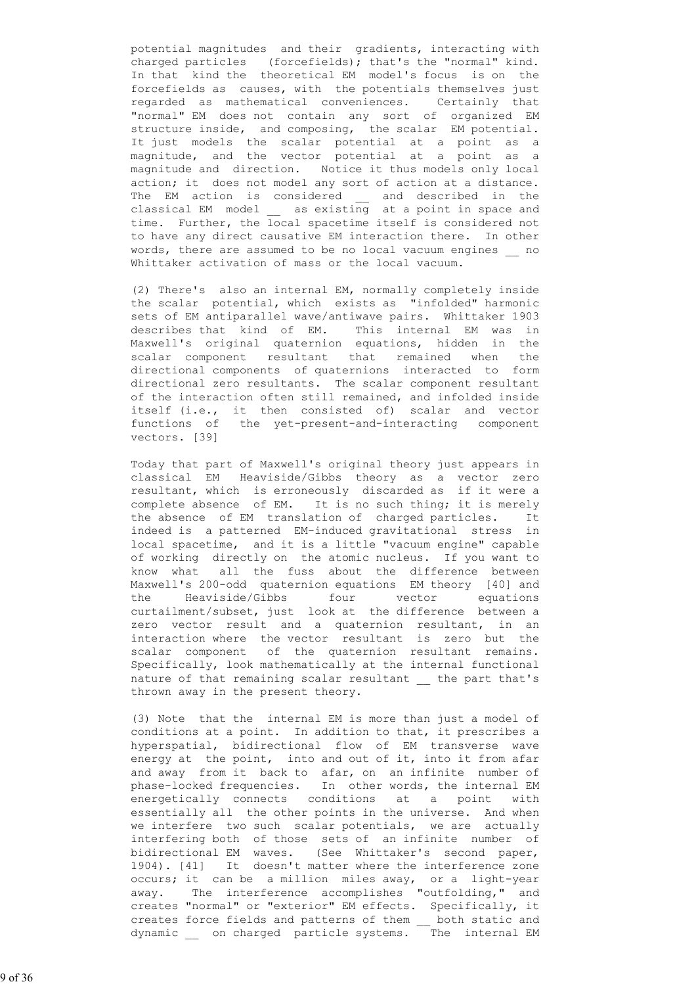potential magnitudes and their gradients, interacting with charged particles (forcefields); that's the "normal" kind. In that kind the theoretical EM model's focus is on the forcefields as causes, with the potentials themselves just regarded as mathematical conveniences. Certainly that "normal" EM does not contain any sort of organized EM structure inside, and composing, the scalar EM potential. It just models the scalar potential at a point as a magnitude, and the vector potential at a point as a magnitude and direction. Notice it thus models only local action; it does not model any sort of action at a distance. The EM action is considered \_\_ and described in the classical EM model \_\_ as existing at a point in space and time. Further, the local spacetime itself is considered not to have any direct causative EM interaction there. In other words, there are assumed to be no local vacuum engines \_\_ no Whittaker activation of mass or the local vacuum.

> (2) There's also an internal EM, normally completely inside the scalar potential, which exists as "infolded" harmonic sets of EM antiparallel wave/antiwave pairs. Whittaker 1903 describes that kind of EM. This internal EM was in Maxwell's original quaternion equations, hidden in the scalar component resultant that remained when the directional components of quaternions interacted to form directional zero resultants. The scalar component resultant of the interaction often still remained, and infolded inside itself (i.e., it then consisted of) scalar and vector functions of the yet-present-and-interacting component vectors. [39]

 Today that part of Maxwell's original theory just appears in classical EM Heaviside/Gibbs theory as a vector zero resultant, which is erroneously discarded as if it were a complete absence of EM. It is no such thing; it is merely the absence of EM translation of charged particles. It indeed is a patterned EM-induced gravitational stress in local spacetime, and it is a little "vacuum engine" capable of working directly on the atomic nucleus. If you want to know what all the fuss about the difference between Maxwell's 200-odd quaternion equations EM theory [40] and the Heaviside/Gibbs four vector equations curtailment/subset, just look at the difference between a zero vector result and a quaternion resultant, in an interaction where the vector resultant is zero but the scalar component of the quaternion resultant remains. Specifically, look mathematically at the internal functional nature of that remaining scalar resultant \_\_ the part that's thrown away in the present theory.

 (3) Note that the internal EM is more than just a model of conditions at a point. In addition to that, it prescribes a hyperspatial, bidirectional flow of EM transverse wave energy at the point, into and out of it, into it from afar and away from it back to afar, on an infinite number of phase-locked frequencies. In other words, the internal EM energetically connects conditions at a point with essentially all the other points in the universe. And when we interfere two such scalar potentials, we are actually interfering both of those sets of an infinite number of bidirectional EM waves. (See Whittaker's second paper, 1904). [41] It doesn't matter where the interference zone occurs; it can be a million miles away, or a light-year away. The interference accomplishes "outfolding," and creates "normal" or "exterior" EM effects. Specifically, it creates force fields and patterns of them \_\_ both static and dynamic \_\_ on charged particle systems. The internal EM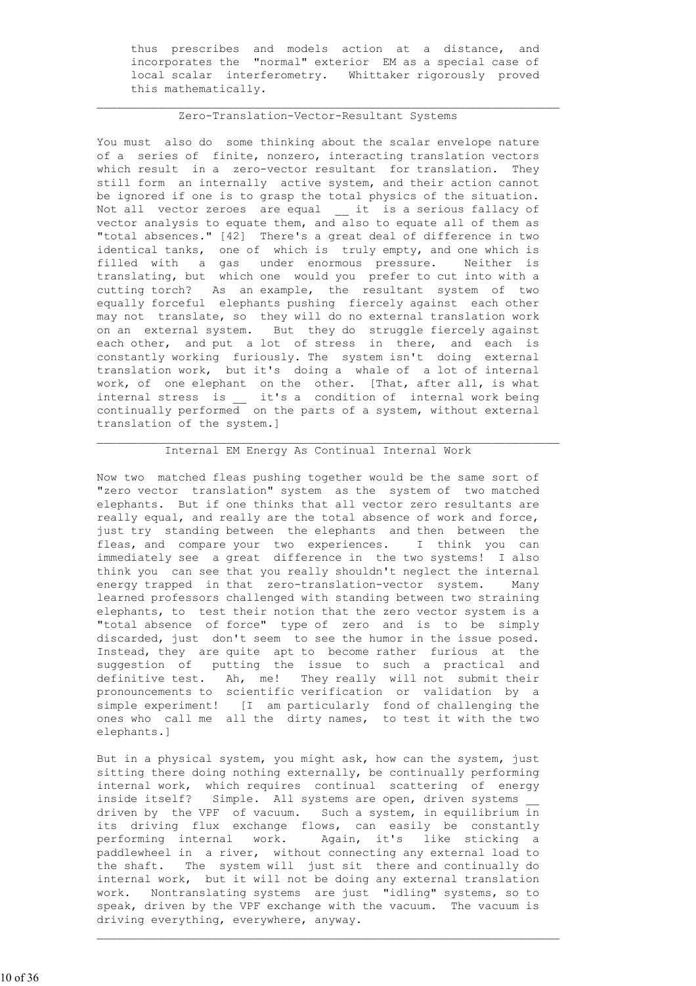thus prescribes and models action at a distance, and incorporates the "normal" exterior EM as a special case of local scalar interferometry. Whittaker rigorously proved this mathematically.

### Zero-Translation-Vector-Resultant Systems

 $\mathcal{L}_\text{max}$  , and the contribution of the contribution of the contribution of the contribution of the contribution of the contribution of the contribution of the contribution of the contribution of the contribution of t

 You must also do some thinking about the scalar envelope nature of a series of finite, nonzero, interacting translation vectors which result in a zero-vector resultant for translation. They still form an internally active system, and their action cannot be ignored if one is to grasp the total physics of the situation. Not all vector zeroes are equal it is a serious fallacy of vector analysis to equate them, and also to equate all of them as "total absences." [42] There's a great deal of difference in two identical tanks, one of which is truly empty, and one which is filled with a gas under enormous pressure. Neither is translating, but which one would you prefer to cut into with a cutting torch? As an example, the resultant system of two equally forceful elephants pushing fiercely against each other may not translate, so they will do no external translation work on an external system. But they do struggle fiercely against each other, and put a lot of stress in there, and each is constantly working furiously. The system isn't doing external translation work, but it's doing a whale of a lot of internal work, of one elephant on the other. [That, after all, is what internal stress is \_\_ it's a condition of internal work being continually performed on the parts of a system, without external translation of the system.]

# Internal EM Energy As Continual Internal Work

 $\mathcal{L}_\text{max}$  , and the contribution of the contribution of the contribution of the contribution of the contribution of the contribution of the contribution of the contribution of the contribution of the contribution of t

 Now two matched fleas pushing together would be the same sort of "zero vector translation" system as the system of two matched elephants. But if one thinks that all vector zero resultants are really equal, and really are the total absence of work and force, just try standing between the elephants and then between the fleas, and compare your two experiences. I think you can immediately see a great difference in the two systems! I also think you can see that you really shouldn't neglect the internal energy trapped in that zero-translation-vector system. Many learned professors challenged with standing between two straining elephants, to test their notion that the zero vector system is a "total absence of force" type of zero and is to be simply discarded, just don't seem to see the humor in the issue posed. Instead, they are quite apt to become rather furious at the suggestion of putting the issue to such a practical and definitive test. Ah, me! They really will not submit their pronouncements to scientific verification or validation by a simple experiment! [I am particularly fond of challenging the ones who call me all the dirty names, to test it with the two elephants.]

 But in a physical system, you might ask, how can the system, just sitting there doing nothing externally, be continually performing internal work, which requires continual scattering of energy inside itself? Simple. All systems are open, driven systems driven by the VPF of vacuum. Such a system, in equilibrium  $\frac{1}{10}$  its driving flux exchange flows, can easily be constantly performing internal work. Again, it's like sticking a paddlewheel in a river, without connecting any external load to the shaft. The system will just sit there and continually do internal work, but it will not be doing any external translation work. Nontranslating systems are just "idling" systems, so to speak, driven by the VPF exchange with the vacuum. The vacuum is driving everything, everywhere, anyway.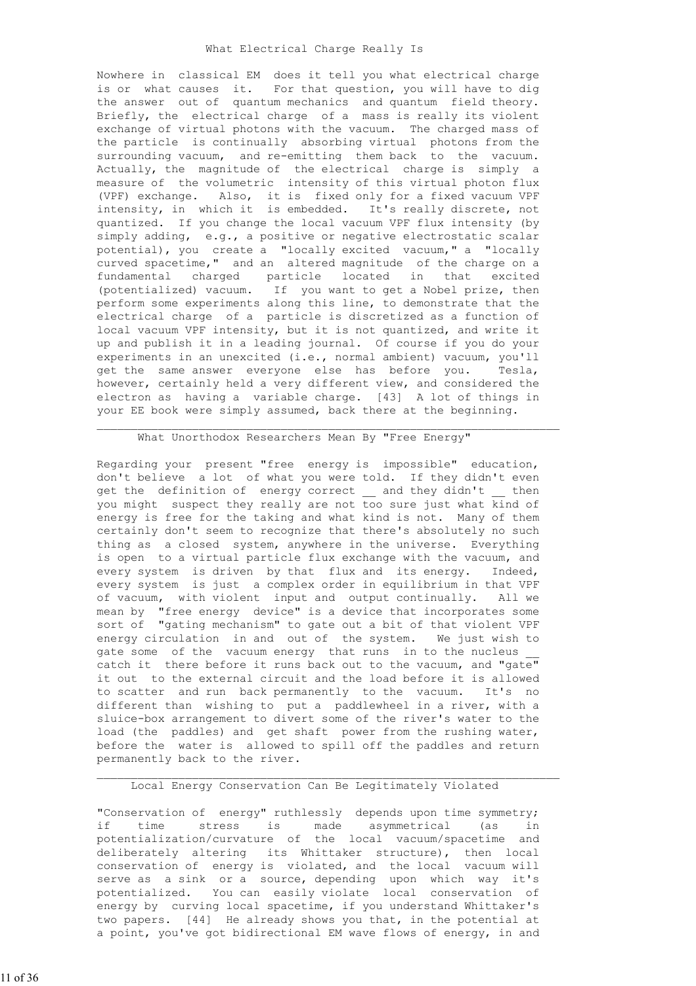Nowhere in classical EM does it tell you what electrical charge is or what causes it. For that question, you will have to dig the answer out of quantum mechanics and quantum field theory. Briefly, the electrical charge of a mass is really its violent exchange of virtual photons with the vacuum. The charged mass of the particle is continually absorbing virtual photons from the surrounding vacuum, and re-emitting them back to the vacuum. Actually, the magnitude of the electrical charge is simply a measure of the volumetric intensity of this virtual photon flux (VPF) exchange. Also, it is fixed only for a fixed vacuum VPF intensity, in which it is embedded. It's really discrete, not quantized. If you change the local vacuum VPF flux intensity (by simply adding, e.g., a positive or negative electrostatic scalar potential), you create a "locally excited vacuum," a "locally curved spacetime," and an altered magnitude of the charge on a fundamental charged particle located in that excited (potentialized) vacuum. If you want to get a Nobel prize, then perform some experiments along this line, to demonstrate that the electrical charge of a particle is discretized as a function of local vacuum VPF intensity, but it is not quantized, and write it up and publish it in a leading journal. Of course if you do your experiments in an unexcited (i.e., normal ambient) vacuum, you'll get the same answer everyone else has before you. Tesla, however, certainly held a very different view, and considered the electron as having a variable charge. [43] A lot of things in your EE book were simply assumed, back there at the beginning.

#### What Unorthodox Researchers Mean By "Free Energy"

 Regarding your present "free energy is impossible" education, don't believe a lot of what you were told. If they didn't even get the definition of energy correct \_\_ and they didn't \_\_ then you might suspect they really are not too sure just what  $\overline{t}$  and of energy is free for the taking and what kind is not. Many of them certainly don't seem to recognize that there's absolutely no such thing as a closed system, anywhere in the universe. Everything is open to a virtual particle flux exchange with the vacuum, and every system is driven by that flux and its energy. Indeed, every system is just a complex order in equilibrium in that VPF of vacuum, with violent input and output continually. All we mean by "free energy device" is a device that incorporates some sort of "gating mechanism" to gate out a bit of that violent VPF energy circulation in and out of the system. We just wish to gate some of the vacuum energy that runs in to the nucleus catch it there before it runs back out to the vacuum, and "gate" it out to the external circuit and the load before it is allowed to scatter and run back permanently to the vacuum. It's no different than wishing to put a paddlewheel in a river, with a sluice-box arrangement to divert some of the river's water to the load (the paddles) and get shaft power from the rushing water, before the water is allowed to spill off the paddles and return permanently back to the river.

#### $\mathcal{L}_\text{max}$  , and the contribution of the contribution of the contribution of the contribution of the contribution of the contribution of the contribution of the contribution of the contribution of the contribution of t Local Energy Conservation Can Be Legitimately Violated

 "Conservation of energy" ruthlessly depends upon time symmetry; if time stress is made asymmetrical (as in potentialization/curvature of the local vacuum/spacetime and deliberately altering its Whittaker structure), then local conservation of energy is violated, and the local vacuum will serve as a sink or a source, depending upon which way it's potentialized. You can easily violate local conservation of energy by curving local spacetime, if you understand Whittaker's two papers. [44] He already shows you that, in the potential at a point, you've got bidirectional EM wave flows of energy, in and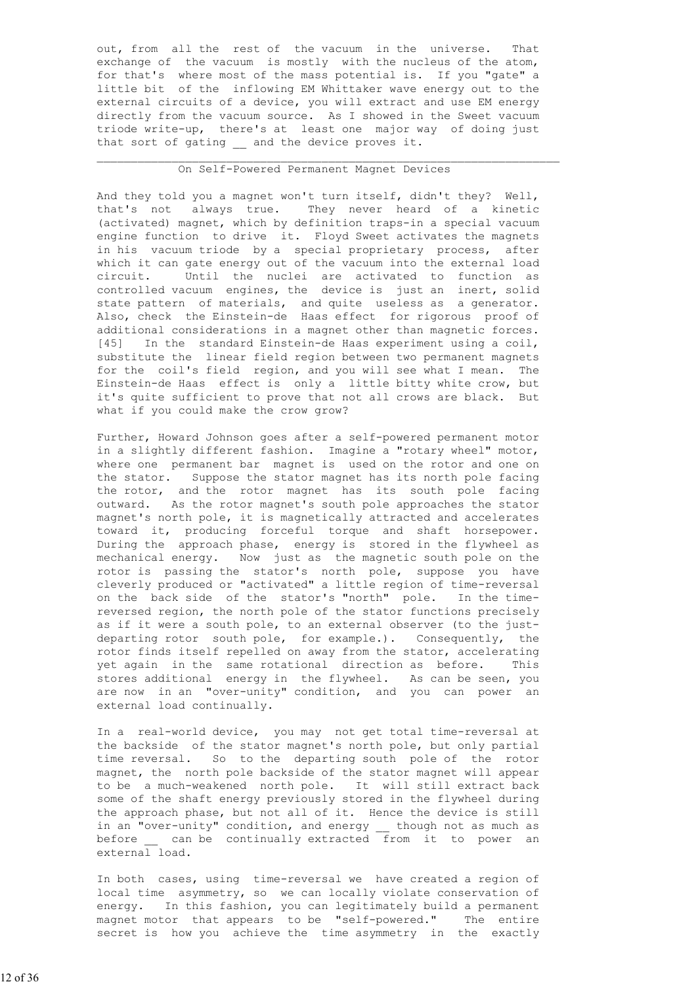out, from all the rest of the vacuum in the universe. That exchange of the vacuum is mostly with the nucleus of the atom, for that's where most of the mass potential is. If you "gate" a little bit of the inflowing EM Whittaker wave energy out to the external circuits of a device, you will extract and use EM energy directly from the vacuum source. As I showed in the Sweet vacuum triode write-up, there's at least one major way of doing just that sort of gating and the device proves it.

# On Self-Powered Permanent Magnet Devices

 $\mathcal{L}_\text{max}$  , and the contribution of the contribution of the contribution of the contribution of the contribution of the contribution of the contribution of the contribution of the contribution of the contribution of t

 And they told you a magnet won't turn itself, didn't they? Well, that's not always true. They never heard of a kinetic (activated) magnet, which by definition traps-in a special vacuum engine function to drive it. Floyd Sweet activates the magnets in his vacuum triode by a special proprietary process, after which it can gate energy out of the vacuum into the external load circuit. Until the nuclei are activated to function as controlled vacuum engines, the device is just an inert, solid state pattern of materials, and quite useless as a generator. Also, check the Einstein-de Haas effect for rigorous proof of additional considerations in a magnet other than magnetic forces. [45] In the standard Einstein-de Haas experiment using a coil, substitute the linear field region between two permanent magnets for the coil's field region, and you will see what I mean. The Einstein-de Haas effect is only a little bitty white crow, but it's quite sufficient to prove that not all crows are black. But what if you could make the crow grow?

 Further, Howard Johnson goes after a self-powered permanent motor in a slightly different fashion. Imagine a "rotary wheel" motor, where one permanent bar magnet is used on the rotor and one on the stator. Suppose the stator magnet has its north pole facing the rotor, and the rotor magnet has its south pole facing outward. As the rotor magnet's south pole approaches the stator magnet's north pole, it is magnetically attracted and accelerates toward it, producing forceful torque and shaft horsepower. During the approach phase, energy is stored in the flywheel as mechanical energy. Now just as the magnetic south pole on the rotor is passing the stator's north pole, suppose you have cleverly produced or "activated" a little region of time-reversal on the back side of the stator's "north" pole. In the time reversed region, the north pole of the stator functions precisely as if it were a south pole, to an external observer (to the just departing rotor south pole, for example.). Consequently, the rotor finds itself repelled on away from the stator, accelerating yet again in the same rotational direction as before. This stores additional energy in the flywheel. As can be seen, you are now in an "over-unity" condition, and you can power an external load continually.

 In a real-world device, you may not get total time-reversal at the backside of the stator magnet's north pole, but only partial time reversal. So to the departing south pole of the rotor magnet, the north pole backside of the stator magnet will appear to be a much-weakened north pole. It will still extract back some of the shaft energy previously stored in the flywheel during the approach phase, but not all of it. Hence the device is still in an "over-unity" condition, and energy \_\_ though not as much as<br>before can be continually extracted from it to power an can be continually extracted  $\overline{f}$  from it to power an external load.

 In both cases, using time-reversal we have created a region of local time asymmetry, so we can locally violate conservation of energy. In this fashion, you can legitimately build a permanent magnet motor that appears to be "self-powered." The entire secret is how you achieve the time asymmetry in the exactly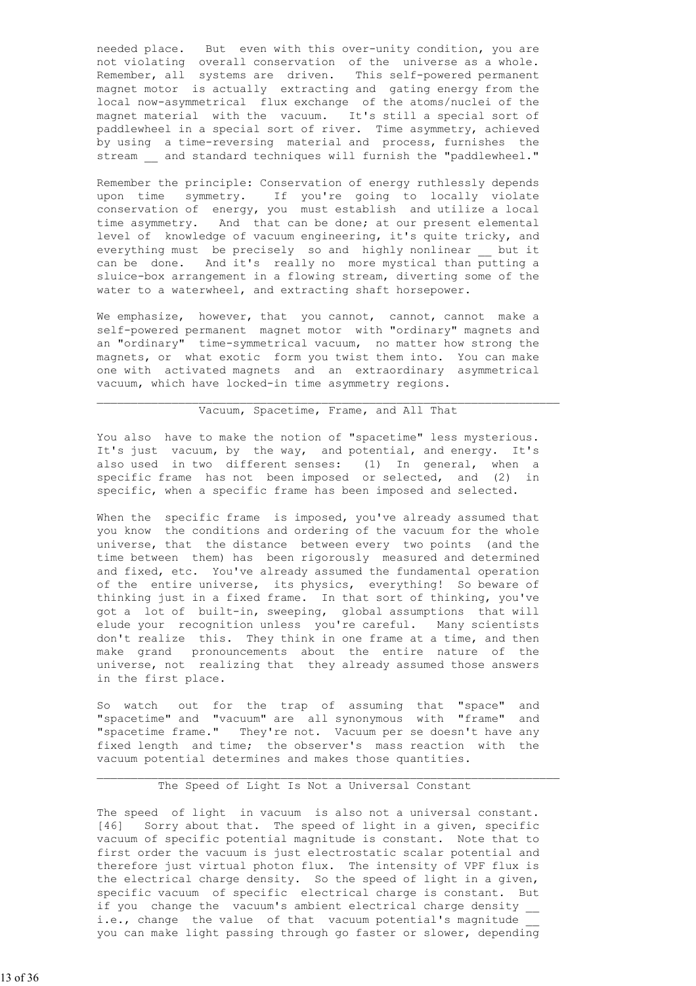needed place. But even with this over-unity condition, you are not violating overall conservation of the universe as a whole. Remember, all systems are driven. This self-powered permanent magnet motor is actually extracting and gating energy from the local now-asymmetrical flux exchange of the atoms/nuclei of the magnet material with the vacuum. It's still a special sort of paddlewheel in a special sort of river. Time asymmetry, achieved by using a time-reversing material and process, furnishes the stream and standard techniques will furnish the "paddlewheel."

 Remember the principle: Conservation of energy ruthlessly depends upon time symmetry. If you're going to locally violate conservation of energy, you must establish and utilize a local time asymmetry. And that can be done; at our present elemental level of knowledge of vacuum engineering, it's quite tricky, and everything must be precisely so and highly nonlinear but it can be done. And it's really no more mystical than putting a sluice-box arrangement in a flowing stream, diverting some of the water to a waterwheel, and extracting shaft horsepower.

 We emphasize, however, that you cannot, cannot, cannot make a self-powered permanent magnet motor with "ordinary" magnets and an "ordinary" time-symmetrical vacuum, no matter how strong the magnets, or what exotic form you twist them into. You can make one with activated magnets and an extraordinary asymmetrical vacuum, which have locked-in time asymmetry regions.

 $\mathcal{L}_\text{max}$  , and the contribution of the contribution of the contribution of the contribution of the contribution of the contribution of the contribution of the contribution of the contribution of the contribution of t

### Vacuum, Spacetime, Frame, and All That

You also have to make the notion of "spacetime" less mysterious. It's just vacuum, by the way, and potential, and energy. It's also used in two different senses: (1) In general, when a specific frame has not been imposed or selected, and (2) in specific, when a specific frame has been imposed and selected.

 When the specific frame is imposed, you've already assumed that you know the conditions and ordering of the vacuum for the whole universe, that the distance between every two points (and the time between them) has been rigorously measured and determined and fixed, etc. You've already assumed the fundamental operation of the entire universe, its physics, everything! So beware of thinking just in a fixed frame. In that sort of thinking, you've got a lot of built-in, sweeping, global assumptions that will elude your recognition unless you're careful. Many scientists don't realize this. They think in one frame at a time, and then make grand pronouncements about the entire nature of the universe, not realizing that they already assumed those answers in the first place.

 So watch out for the trap of assuming that "space" and "spacetime" and "vacuum" are all synonymous with "frame" and "spacetime frame." They're not. Vacuum per se doesn't have any fixed length and time; the observer's mass reaction with the vacuum potential determines and makes those quantities.

### The Speed of Light Is Not a Universal Constant

 $\mathcal{L}_\text{max}$  , and the contribution of the contribution of the contribution of the contribution of the contribution of the contribution of the contribution of the contribution of the contribution of the contribution of t

 The speed of light in vacuum is also not a universal constant. [46] Sorry about that. The speed of light in a given, specific vacuum of specific potential magnitude is constant. Note that to first order the vacuum is just electrostatic scalar potential and therefore just virtual photon flux. The intensity of VPF flux is the electrical charge density. So the speed of light in a given, specific vacuum of specific electrical charge is constant. But if you change the vacuum's ambient electrical charge density \_\_ i.e., change the value of that vacuum potential's magnitude you can make light passing through go faster or slower, depending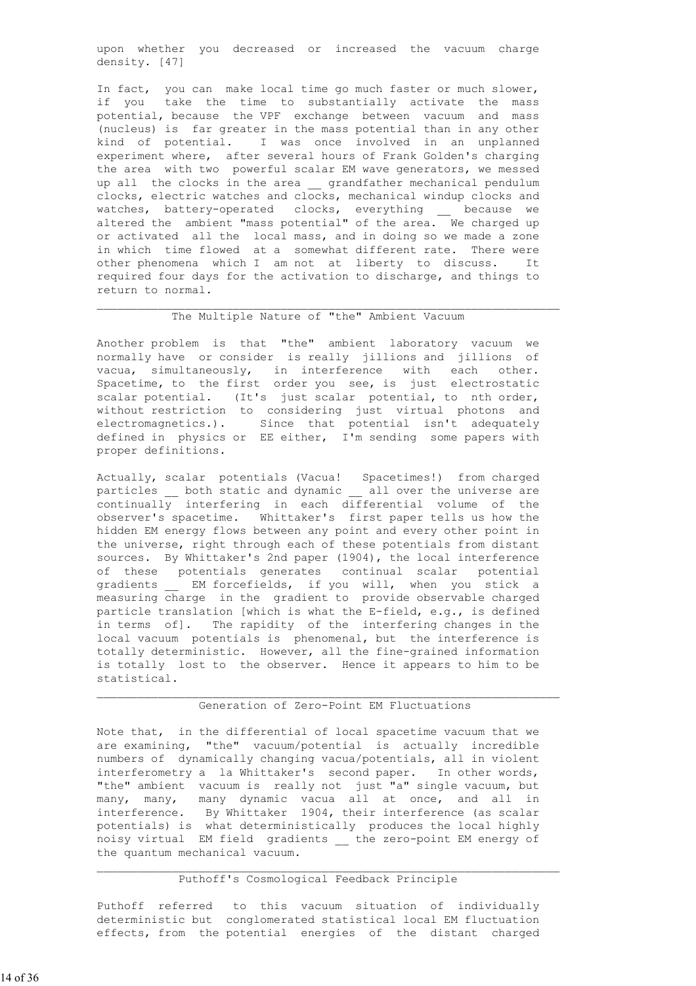upon whether you decreased or increased the vacuum charge density. [47]

 In fact, you can make local time go much faster or much slower, if you take the time to substantially activate the mass potential, because the VPF exchange between vacuum and mass (nucleus) is far greater in the mass potential than in any other kind of potential. I was once involved in an unplanned experiment where, after several hours of Frank Golden's charging the area with two powerful scalar EM wave generators, we messed up all the clocks in the area \_\_ grandfather mechanical pendulum clocks, electric watches and clocks, mechanical windup clocks and watches, battery-operated clocks, everything \_\_ because we altered the ambient "mass potential" of the area. We charged up or activated all the local mass, and in doing so we made a zone in which time flowed at a somewhat different rate. There were other phenomena which I am not at liberty to discuss. required four days for the activation to discharge, and things to return to normal.

# The Multiple Nature of "the" Ambient Vacuum

 $\mathcal{L}_\text{max}$  , and the contribution of the contribution of the contribution of the contribution of the contribution of the contribution of the contribution of the contribution of the contribution of the contribution of t

 Another problem is that "the" ambient laboratory vacuum we normally have or consider is really jillions and jillions of vacua, simultaneously, in interference with each other. Spacetime, to the first order you see, is just electrostatic scalar potential. (It's just scalar potential, to nth order, without restriction to considering just virtual photons and electromagnetics.). Since that potential isn't adequately defined in physics or EE either, I'm sending some papers with proper definitions.

 Actually, scalar potentials (Vacua! Spacetimes!) from charged particles \_\_ both static and dynamic \_\_ all over the universe are continually interfering in each differential volume of the observer's spacetime. Whittaker's first paper tells us how the hidden EM energy flows between any point and every other point in the universe, right through each of these potentials from distant sources. By Whittaker's 2nd paper (1904), the local interference of these potentials generates continual scalar potential gradients \_\_ EM forcefields, if you will, when you stick a measuring charge in the gradient to provide observable charged particle translation [which is what the E-field, e.g., is defined in terms of]. The rapidity of the interfering changes in the local vacuum potentials is phenomenal, but the interference is totally deterministic. However, all the fine-grained information is totally lost to the observer. Hence it appears to him to be statistical.

### Generation of Zero-Point EM Fluctuations

 Note that, in the differential of local spacetime vacuum that we are examining, "the" vacuum/potential is actually incredible numbers of dynamically changing vacua/potentials, all in violent interferometry a la Whittaker's second paper. In other words, "the" ambient vacuum is really not just "a" single vacuum, but many, many, many dynamic vacua all at once, and all in interference. By Whittaker 1904, their interference (as scalar potentials) is what deterministically produces the local highly noisy virtual EM field gradients the zero-point EM energy of the quantum mechanical vacuum.

# Puthoff's Cosmological Feedback Principle

 $\mathcal{L}_\text{max}$  , and the contribution of the contribution of the contribution of the contribution of the contribution of the contribution of the contribution of the contribution of the contribution of the contribution of t

 Puthoff referred to this vacuum situation of individually deterministic but conglomerated statistical local EM fluctuation effects, from the potential energies of the distant charged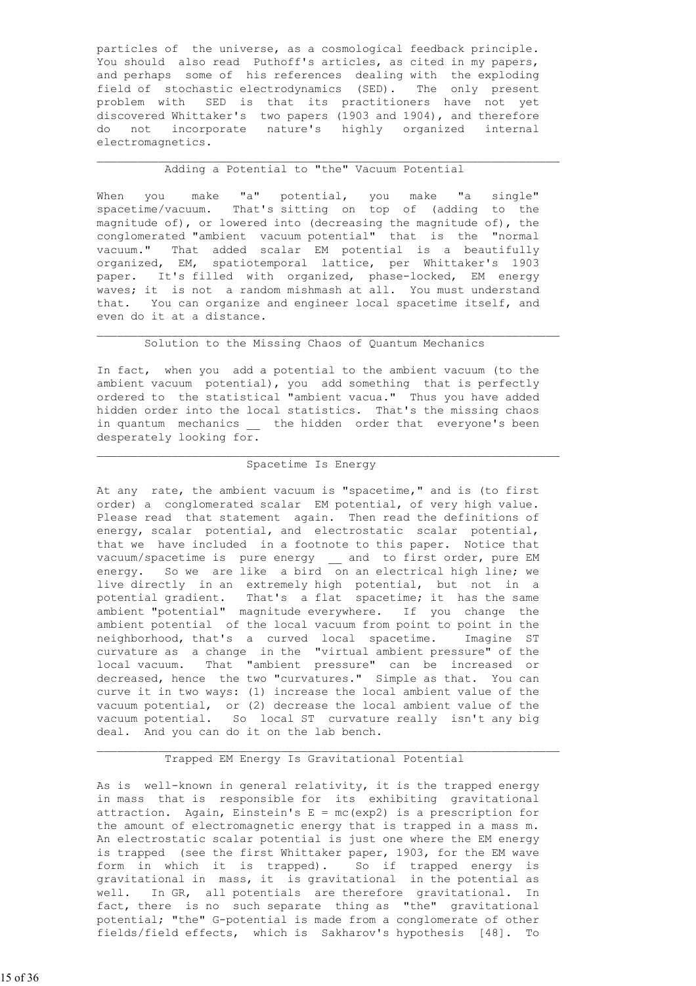particles of the universe, as a cosmological feedback principle. You should also read Puthoff's articles, as cited in my papers, and perhaps some of his references dealing with the exploding field of stochastic electrodynamics (SED). The only present problem with SED is that its practitioners have not yet discovered Whittaker's two papers (1903 and 1904), and therefore do not incorporate nature's highly organized internal electromagnetics.

### Adding a Potential to "the" Vacuum Potential

 $\mathcal{L}_\text{max}$  , and the contribution of the contribution of the contribution of the contribution of the contribution of the contribution of the contribution of the contribution of the contribution of the contribution of t

 When you make "a" potential, you make "a single" spacetime/vacuum. That's sitting on top of (adding to the magnitude of), or lowered into (decreasing the magnitude of), the conglomerated "ambient vacuum potential" that is the "normal vacuum." That added scalar EM potential is a beautifully organized, EM, spatiotemporal lattice, per Whittaker's 1903 paper. It's filled with organized, phase-locked, EM energy waves; it is not a random mishmash at all. You must understand that. You can organize and engineer local spacetime itself, and even do it at a distance.

# Solution to the Missing Chaos of Quantum Mechanics

 $\mathcal{L}_\text{max}$  , and the contribution of the contribution of the contribution of the contribution of the contribution of the contribution of the contribution of the contribution of the contribution of the contribution of t

 In fact, when you add a potential to the ambient vacuum (to the ambient vacuum potential), you add something that is perfectly ordered to the statistical "ambient vacua." Thus you have added hidden order into the local statistics. That's the missing chaos in quantum mechanics \_ the hidden order that everyone's been desperately looking for.

### $\mathcal{L}_\text{max}$  , and the contribution of the contribution of the contribution of the contribution of the contribution of the contribution of the contribution of the contribution of the contribution of the contribution of t Spacetime Is Energy

 At any rate, the ambient vacuum is "spacetime," and is (to first order) a conglomerated scalar EM potential, of very high value. Please read that statement again. Then read the definitions of energy, scalar potential, and electrostatic scalar potential, that we have included in a footnote to this paper. Notice that vacuum/spacetime is pure energy \_\_ and to first order, pure EM energy. So we are like a bird on an electrical high line; we live directly in an extremely high potential, but not in a potential gradient. That's a flat spacetime; it has the same ambient "potential" magnitude everywhere. If you change the ambient potential of the local vacuum from point to point in the neighborhood, that's a curved local spacetime. Imagine ST curvature as a change in the "virtual ambient pressure" of the local vacuum. That "ambient pressure" can be increased or decreased, hence the two "curvatures." Simple as that. You can curve it in two ways: (1) increase the local ambient value of the vacuum potential, or (2) decrease the local ambient value of the vacuum potential. So local ST curvature really isn't any big deal. And you can do it on the lab bench.

### Trapped EM Energy Is Gravitational Potential

 $\mathcal{L}_\text{max}$  , and the contribution of the contribution of the contribution of the contribution of the contribution of the contribution of the contribution of the contribution of the contribution of the contribution of t

 As is well-known in general relativity, it is the trapped energy in mass that is responsible for its exhibiting gravitational attraction. Again, Einstein's  $E = mc(exp2)$  is a prescription for the amount of electromagnetic energy that is trapped in a mass m. An electrostatic scalar potential is just one where the EM energy is trapped (see the first Whittaker paper, 1903, for the EM wave form in which it is trapped). So if trapped energy is gravitational in mass, it is gravitational in the potential as well. In GR, all potentials are therefore gravitational. In fact, there is no such separate thing as "the" gravitational potential; "the" G-potential is made from a conglomerate of other fields/field effects, which is Sakharov's hypothesis [48]. To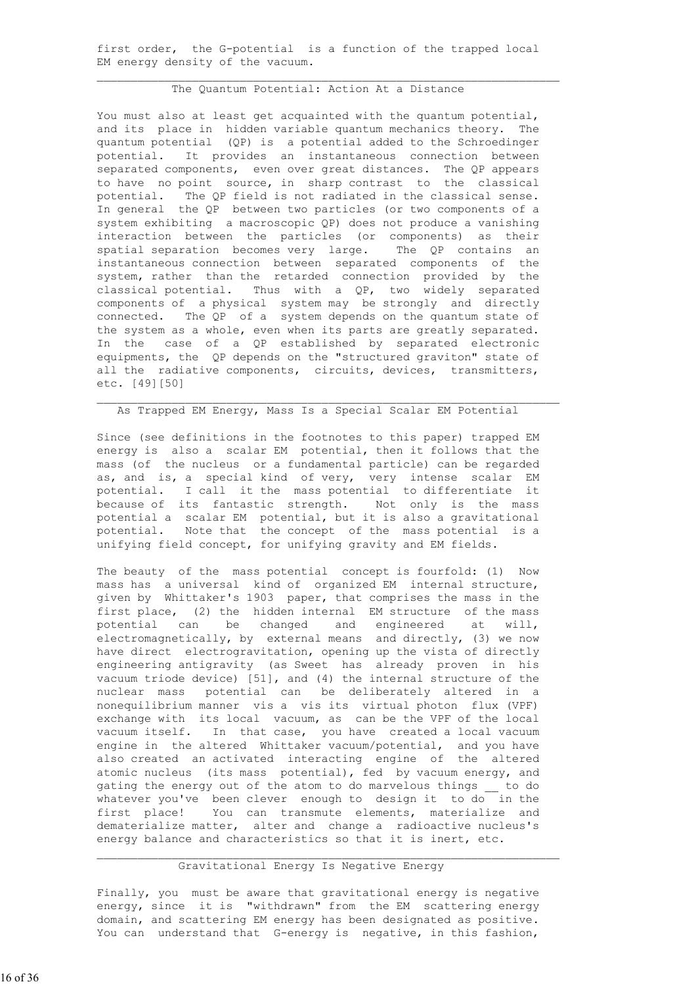first order, the G-potential is a function of the trapped local EM energy density of the vacuum.

#### The Quantum Potential: Action At a Distance

 $\mathcal{L}_\text{max}$  , and the contribution of the contribution of the contribution of the contribution of the contribution of the contribution of the contribution of the contribution of the contribution of the contribution of t

You must also at least get acquainted with the quantum potential, and its place in hidden variable quantum mechanics theory. The quantum potential (QP) is a potential added to the Schroedinger potential. It provides an instantaneous connection between separated components, even over great distances. The QP appears to have no point source, in sharp contrast to the classical potential. The QP field is not radiated in the classical sense. In general the QP between two particles (or two components of a system exhibiting a macroscopic QP) does not produce a vanishing interaction between the particles (or components) as their spatial separation becomes very large. The QP contains an instantaneous connection between separated components of the system, rather than the retarded connection provided by the classical potential. Thus with a QP, two widely separated components of a physical system may be strongly and directly connected. The QP of a system depends on the quantum state of the system as a whole, even when its parts are greatly separated. In the case of a QP established by separated electronic equipments, the QP depends on the "structured graviton" state of all the radiative components, circuits, devices, transmitters, etc. [49][50]

### As Trapped EM Energy, Mass Is a Special Scalar EM Potential

 $\mathcal{L}_\text{max}$  , and the contribution of the contribution of the contribution of the contribution of the contribution of the contribution of the contribution of the contribution of the contribution of the contribution of t

 Since (see definitions in the footnotes to this paper) trapped EM energy is also a scalar EM potential, then it follows that the mass (of the nucleus or a fundamental particle) can be regarded as, and is, a special kind of very, very intense scalar EM potential. I call it the mass potential to differentiate it because of its fantastic strength. Not only is the mass potential a scalar EM potential, but it is also a gravitational potential. Note that the concept of the mass potential is a unifying field concept, for unifying gravity and EM fields.

The beauty of the mass potential concept is fourfold: (1) Now mass has a universal kind of organized EM internal structure, given by Whittaker's 1903 paper, that comprises the mass in the first place,  $(2)$  the hidden internal EM structure of the mass potential can be changed and engineered at will, electromagnetically, by external means and directly, (3) we now have direct electrogravitation, opening up the vista of directly engineering antigravity (as Sweet has already proven in his vacuum triode device) [51], and (4) the internal structure of the nuclear mass potential can be deliberately altered in a nonequilibrium manner vis a vis its virtual photon flux (VPF) exchange with its local vacuum, as can be the VPF of the local vacuum itself. In that case, you have created a local vacuum engine in the altered Whittaker vacuum/potential, and you have also created an activated interacting engine of the altered atomic nucleus (its mass potential), fed by vacuum energy, and gating the energy out of the atom to do marvelous things to do whatever you've been clever enough to design it to do in the first place! You can transmute elements, materialize and dematerialize matter, alter and change a radioactive nucleus's energy balance and characteristics so that it is inert, etc.

### $\mathcal{L}_\text{max}$  , and the contribution of the contribution of the contribution of the contribution of the contribution of the contribution of the contribution of the contribution of the contribution of the contribution of t Gravitational Energy Is Negative Energy

 Finally, you must be aware that gravitational energy is negative energy, since it is "withdrawn" from the EM scattering energy domain, and scattering EM energy has been designated as positive. You can understand that G-energy is negative, in this fashion,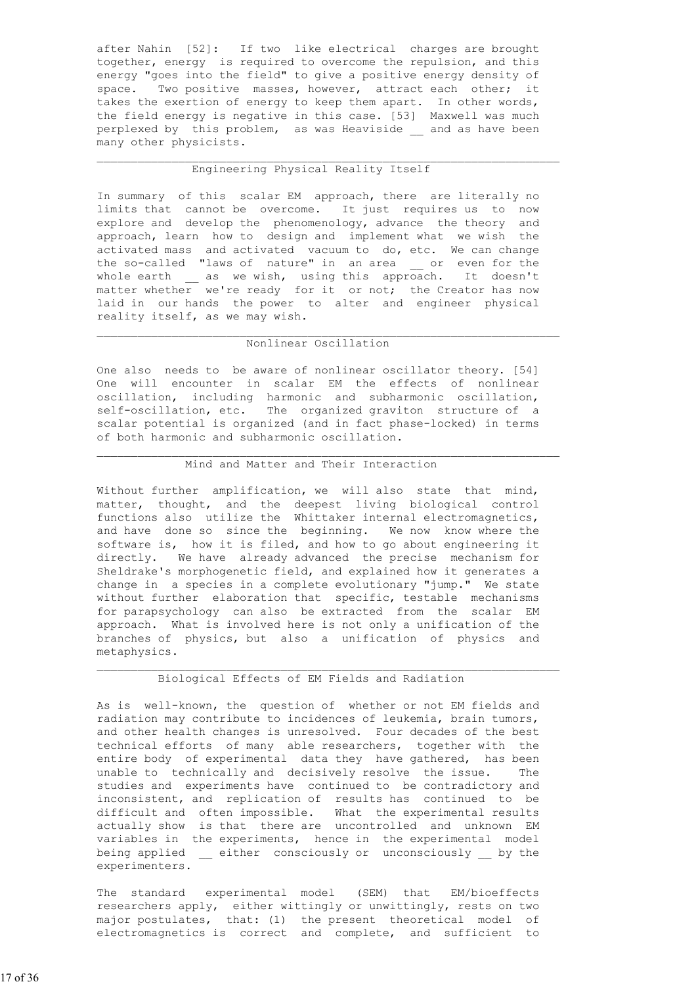after Nahin [52]: If two like electrical charges are brought together, energy is required to overcome the repulsion, and this energy "goes into the field" to give a positive energy density of space. Two positive masses, however, attract each other; it takes the exertion of energy to keep them apart. In other words, the field energy is negative in this case. [53] Maxwell was much perplexed by this problem, as was Heaviside and as have been many other physicists.

### Engineering Physical Reality Itself

 $\mathcal{L}_\text{max}$  , and the contribution of the contribution of the contribution of the contribution of the contribution of the contribution of the contribution of the contribution of the contribution of the contribution of t

 In summary of this scalar EM approach, there are literally no limits that cannot be overcome. It just requires us to now explore and develop the phenomenology, advance the theory and approach, learn how to design and implement what we wish the activated mass and activated vacuum to do, etc. We can change the so-called "laws of nature" in an area or even for the whole earth \_\_ as we wish, using this approach. It doesn't matter whether we're ready for it or not; the Creator has now laid in our hands the power to alter and engineer physical reality itself, as we may wish.

# Nonlinear Oscillation

 $\mathcal{L}_\text{max}$  , and the contribution of the contribution of the contribution of the contribution of the contribution of the contribution of the contribution of the contribution of the contribution of the contribution of t

 One also needs to be aware of nonlinear oscillator theory. [54] One will encounter in scalar EM the effects of nonlinear oscillation, including harmonic and subharmonic oscillation, self-oscillation, etc. The organized graviton structure of a scalar potential is organized (and in fact phase-locked) in terms of both harmonic and subharmonic oscillation.

#### $\mathcal{L}_\text{max}$  , and the contribution of the contribution of the contribution of the contribution of the contribution of the contribution of the contribution of the contribution of the contribution of the contribution of t Mind and Matter and Their Interaction

 Without further amplification, we will also state that mind, matter, thought, and the deepest living biological control functions also utilize the Whittaker internal electromagnetics, and have done so since the beginning. We now know where the software is, how it is filed, and how to go about engineering it directly. We have already advanced the precise mechanism for Sheldrake's morphogenetic field, and explained how it generates a change in a species in a complete evolutionary "jump." We state without further elaboration that specific, testable mechanisms for parapsychology can also be extracted from the scalar EM approach. What is involved here is not only a unification of the branches of physics, but also a unification of physics and metaphysics.

#### $\mathcal{L}_\text{max}$  , and the contribution of the contribution of the contribution of the contribution of the contribution of the contribution of the contribution of the contribution of the contribution of the contribution of t Biological Effects of EM Fields and Radiation

 As is well-known, the question of whether or not EM fields and radiation may contribute to incidences of leukemia, brain tumors, and other health changes is unresolved. Four decades of the best technical efforts of many able researchers, together with the entire body of experimental data they have gathered, has been unable to technically and decisively resolve the issue. The studies and experiments have continued to be contradictory and inconsistent, and replication of results has continued to be difficult and often impossible. What the experimental results actually show is that there are uncontrolled and unknown EM variables in the experiments, hence in the experimental model being applied \_\_ either consciously or unconsciously \_\_ by the experimenters.

 The standard experimental model (SEM) that EM/bioeffects researchers apply, either wittingly or unwittingly, rests on two major postulates, that: (1) the present theoretical model of electromagnetics is correct and complete, and sufficient to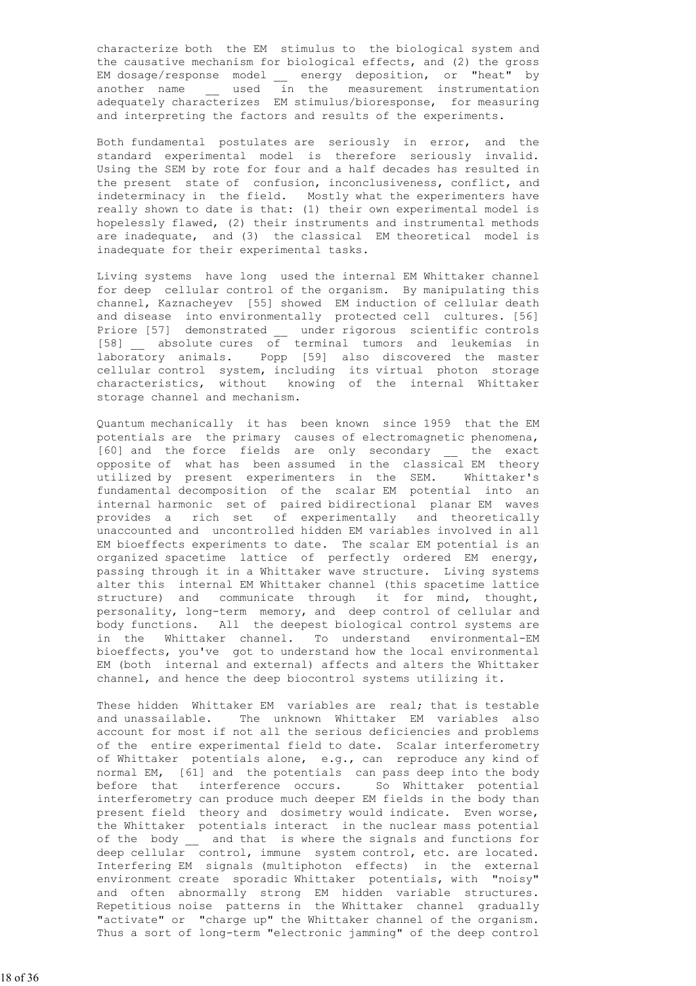characterize both the EM stimulus to the biological system and the causative mechanism for biological effects, and (2) the gross EM dosage/response model \_\_ energy deposition, or "heat" by another name \_\_ used in the measurement instrumentation adequately characterizes EM stimulus/bioresponse, for measuring and interpreting the factors and results of the experiments.

 Both fundamental postulates are seriously in error, and the standard experimental model is therefore seriously invalid. Using the SEM by rote for four and a half decades has resulted in the present state of confusion, inconclusiveness, conflict, and indeterminacy in the field. Mostly what the experimenters have really shown to date is that: (1) their own experimental model is hopelessly flawed, (2) their instruments and instrumental methods are inadequate, and (3) the classical EM theoretical model is inadequate for their experimental tasks.

 Living systems have long used the internal EM Whittaker channel for deep cellular control of the organism. By manipulating this channel, Kaznacheyev [55] showed EM induction of cellular death and disease into environmentally protected cell cultures. [56] Priore [57] demonstrated \_\_ under rigorous scientific controls [58] \_\_ absolute cures of terminal tumors and leukemias in laboratory animals. Popp [59] also discovered the master cellular control system, including its virtual photon storage characteristics, without knowing of the internal Whittaker storage channel and mechanism.

 Quantum mechanically it has been known since 1959 that the EM potentials are the primary causes of electromagnetic phenomena, .<br>[60] and the force fields are only secondary bhe exact opposite of what has been assumed in the classical EM theory utilized by present experimenters in the SEM. Whittaker's fundamental decomposition of the scalar EM potential into an internal harmonic set of paired bidirectional planar EM waves provides a rich set of experimentally and theoretically unaccounted and uncontrolled hidden EM variables involved in all EM bioeffects experiments to date. The scalar EM potential is an organized spacetime lattice of perfectly ordered EM energy, passing through it in a Whittaker wave structure. Living systems alter this internal EM Whittaker channel (this spacetime lattice structure) and communicate through it for mind, thought, personality, long-term memory, and deep control of cellular and body functions. All the deepest biological control systems are in the Whittaker channel. To understand environmental-EM bioeffects, you've got to understand how the local environmental EM (both internal and external) affects and alters the Whittaker channel, and hence the deep biocontrol systems utilizing it.

 These hidden Whittaker EM variables are real; that is testable and unassailable. The unknown Whittaker EM variables also account for most if not all the serious deficiencies and problems of the entire experimental field to date. Scalar interferometry of Whittaker potentials alone, e.g., can reproduce any kind of normal EM, [61] and the potentials can pass deep into the body before that interference occurs. So Whittaker potential interferometry can produce much deeper EM fields in the body than present field theory and dosimetry would indicate. Even worse, the Whittaker potentials interact in the nuclear mass potential of the body and that is where the signals and functions for deep cellular control, immune system control, etc. are located. Interfering EM signals (multiphoton effects) in the external environment create sporadic Whittaker potentials, with "noisy" and often abnormally strong EM hidden variable structures. Repetitious noise patterns in the Whittaker channel gradually "activate" or "charge up" the Whittaker channel of the organism. Thus a sort of long-term "electronic jamming" of the deep control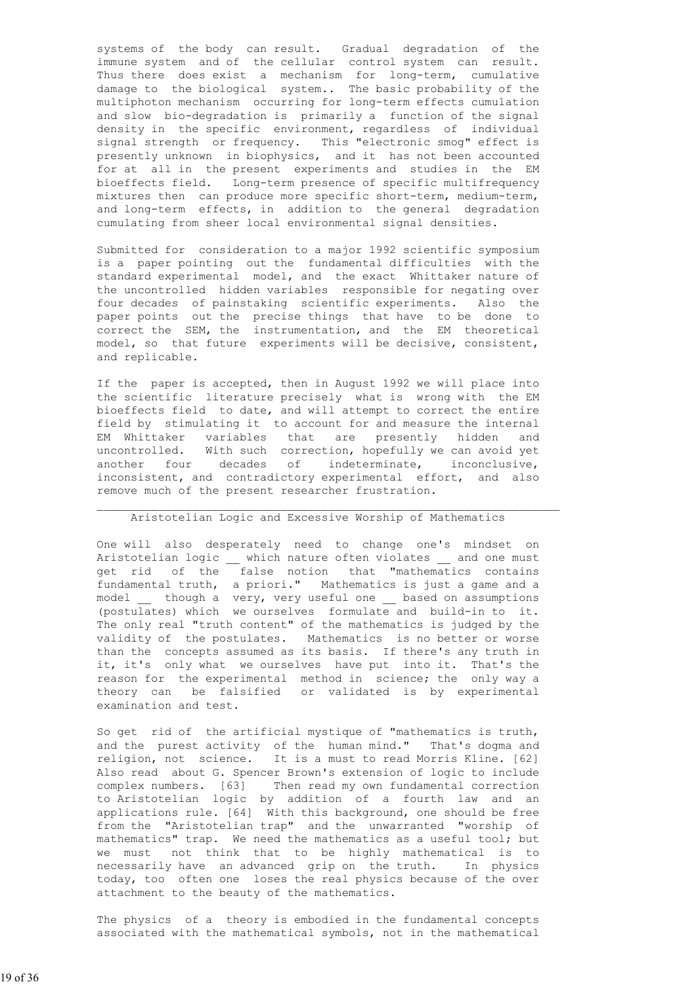systems of the body can result. Gradual degradation of the immune system and of the cellular control system can result. Thus there does exist a mechanism for long-term, cumulative damage to the biological system.. The basic probability of the multiphoton mechanism occurring for long-term effects cumulation and slow bio-degradation is primarily a function of the signal density in the specific environment, regardless of individual signal strength or frequency. This "electronic smog" effect is presently unknown in biophysics, and it has not been accounted for at all in the present experiments and studies in the EM bioeffects field. Long-term presence of specific multifrequency mixtures then can produce more specific short-term, medium-term, and long-term effects, in addition to the general degradation cumulating from sheer local environmental signal densities.

 Submitted for consideration to a major 1992 scientific symposium is a paper pointing out the fundamental difficulties with the standard experimental model, and the exact Whittaker nature of the uncontrolled hidden variables responsible for negating over four decades of painstaking scientific experiments. Also the paper points out the precise things that have to be done to correct the SEM, the instrumentation, and the EM theoretical model, so that future experiments will be decisive, consistent, and replicable.

 If the paper is accepted, then in August 1992 we will place into the scientific literature precisely what is wrong with the EM bioeffects field to date, and will attempt to correct the entire field by stimulating it to account for and measure the internal EM Whittaker variables that are presently hidden and uncontrolled. With such correction, hopefully we can avoid yet another four decades of indeterminate, inconclusive, inconsistent, and contradictory experimental effort, and also remove much of the present researcher frustration.

### Aristotelian Logic and Excessive Worship of Mathematics

 $\mathcal{L}_\text{max}$ 

 One will also desperately need to change one's mindset on Aristotelian logic \_\_ which nature often violates \_\_ and one must get rid of the false notion that "mathematics contains fundamental truth, a priori." Mathematics is just a game and a model \_\_ though a very, very useful one \_\_ based on assumptions (postulates) which we ourselves formulate and build-in to it. The only real "truth content" of the mathematics is judged by the validity of the postulates. Mathematics is no better or worse than the concepts assumed as its basis. If there's any truth in it, it's only what we ourselves have put into it. That's the reason for the experimental method in science; the only way a theory can be falsified or validated is by experimental examination and test.

 So get rid of the artificial mystique of "mathematics is truth, and the purest activity of the human mind." That's dogma and religion, not science. It is a must to read Morris Kline. [62] Also read about G. Spencer Brown's extension of logic to include complex numbers. [63] Then read my own fundamental correction to Aristotelian logic by addition of a fourth law and an applications rule. [64] With this background, one should be free from the "Aristotelian trap" and the unwarranted "worship of mathematics" trap. We need the mathematics as a useful tool; but we must not think that to be highly mathematical is to necessarily have an advanced grip on the truth. In physics today, too often one loses the real physics because of the over attachment to the beauty of the mathematics.

 The physics of a theory is embodied in the fundamental concepts associated with the mathematical symbols, not in the mathematical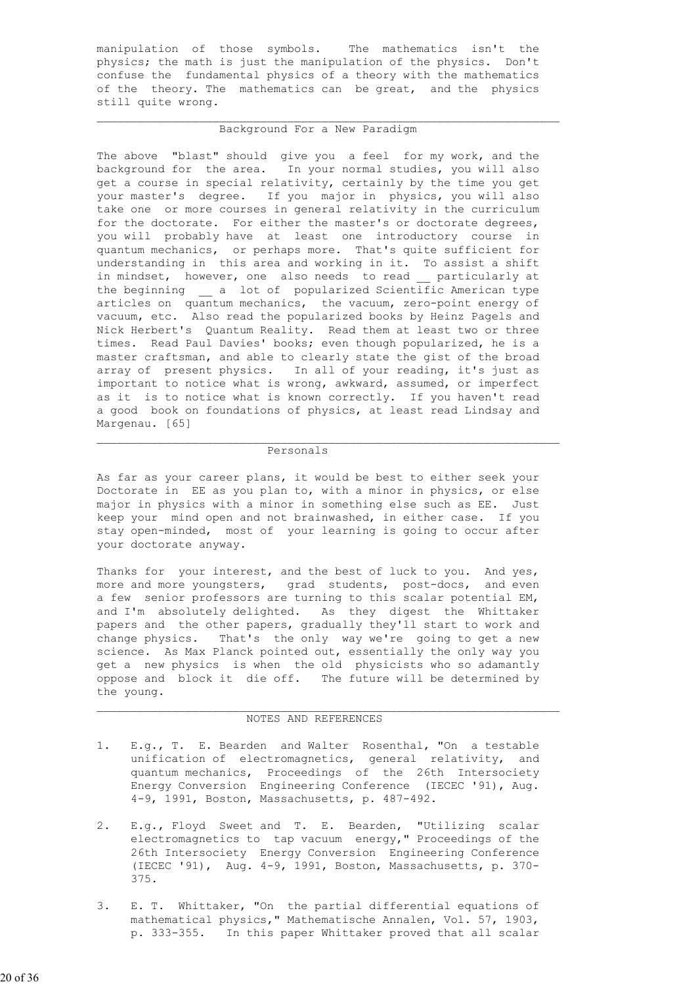manipulation of those symbols. The mathematics isn't the physics; the math is just the manipulation of the physics. Don't confuse the fundamental physics of a theory with the mathematics of the theory. The mathematics can be great, and the physics still quite wrong.

#### Background For a New Paradigm

 The above "blast" should give you a feel for my work, and the background for the area. In your normal studies, you will also get a course in special relativity, certainly by the time you get your master's degree. If you major in physics, you will also take one or more courses in general relativity in the curriculum for the doctorate. For either the master's or doctorate degrees, you will probably have at least one introductory course in quantum mechanics, or perhaps more. That's quite sufficient for understanding in this area and working in it. To assist a shift in mindset, however, one also needs to read \_\_ particularly at the beginning a lot of popularized Scientific American type articles on quantum mechanics, the vacuum, zero-point energy of vacuum, etc. Also read the popularized books by Heinz Pagels and Nick Herbert's Quantum Reality. Read them at least two or three times. Read Paul Davies' books; even though popularized, he is a master craftsman, and able to clearly state the gist of the broad array of present physics. In all of your reading, it's just as important to notice what is wrong, awkward, assumed, or imperfect as it is to notice what is known correctly. If you haven't read a good book on foundations of physics, at least read Lindsay and Margenau. [65]

### $\mathcal{L}_\text{max}$  , and the contribution of the contribution of the contribution of the contribution of the contribution of the contribution of the contribution of the contribution of the contribution of the contribution of t Personals

 As far as your career plans, it would be best to either seek your Doctorate in EE as you plan to, with a minor in physics, or else major in physics with a minor in something else such as EE. Just keep your mind open and not brainwashed, in either case. If you stay open-minded, most of your learning is going to occur after your doctorate anyway.

Thanks for your interest, and the best of luck to you. And yes, more and more youngsters, grad students, post-docs, and even a few senior professors are turning to this scalar potential EM, and I'm absolutely delighted. As they digest the Whittaker papers and the other papers, gradually they'll start to work and change physics. That's the only way we're going to get a new science. As Max Planck pointed out, essentially the only way you get a new physics is when the old physicists who so adamantly oppose and block it die off. The future will be determined by the young.

#### NOTES AND REFERENCES

 $\mathcal{L}_\text{max}$  , and the contribution of the contribution of the contribution of the contribution of the contribution of the contribution of the contribution of the contribution of the contribution of the contribution of t

- 1. E.g., T. E. Bearden and Walter Rosenthal, "On a testable unification of electromagnetics, general relativity, and quantum mechanics, Proceedings of the 26th Intersociety Energy Conversion Engineering Conference (IECEC '91), Aug. 4-9, 1991, Boston, Massachusetts, p. 487-492.
- 2. E.g., Floyd Sweet and T. E. Bearden, "Utilizing scalar electromagnetics to tap vacuum energy," Proceedings of the 26th Intersociety Energy Conversion Engineering Conference (IECEC '91), Aug. 4-9, 1991, Boston, Massachusetts, p. 370- 375.
- 3. E. T. Whittaker, "On the partial differential equations of mathematical physics," Mathematische Annalen, Vol. 57, 1903, p. 333-355. In this paper Whittaker proved that all scalar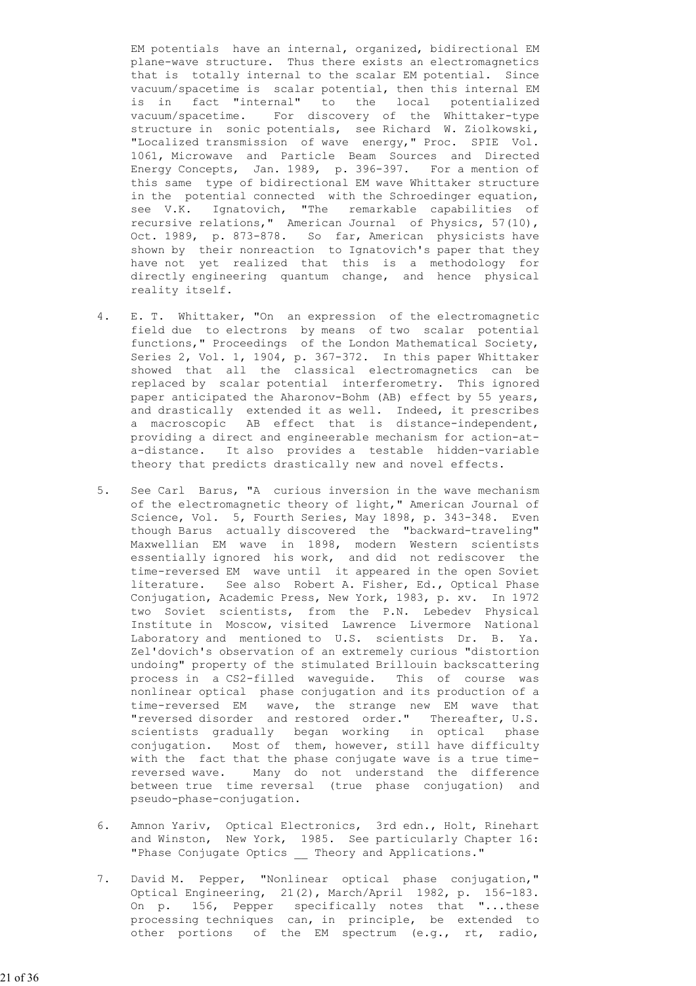EM potentials have an internal, organized, bidirectional EM plane-wave structure. Thus there exists an electromagnetics that is totally internal to the scalar EM potential. Since vacuum/spacetime is scalar potential, then this internal EM is in fact "internal" to the local potentialized vacuum/spacetime. For discovery of the Whittaker-type structure in sonic potentials, see Richard W. Ziolkowski, "Localized transmission of wave energy," Proc. SPIE Vol. 1061, Microwave and Particle Beam Sources and Directed Energy Concepts, Jan. 1989, p. 396-397. For a mention of this same type of bidirectional EM wave Whittaker structure in the potential connected with the Schroedinger equation, see V.K. Ignatovich, "The remarkable capabilities of recursive relations," American Journal of Physics, 57(10), Oct. 1989, p. 873-878. So far, American physicists have shown by their nonreaction to Ignatovich's paper that they have not yet realized that this is a methodology for directly engineering quantum change, and hence physical reality itself.

- 4. E. T. Whittaker, "On an expression of the electromagnetic field due to electrons by means of two scalar potential functions," Proceedings of the London Mathematical Society, Series 2, Vol. 1, 1904, p. 367-372. In this paper Whittaker showed that all the classical electromagnetics can be replaced by scalar potential interferometry. This ignored paper anticipated the Aharonov-Bohm (AB) effect by 55 years, and drastically extended it as well. Indeed, it prescribes a macroscopic AB effect that is distance-independent, providing a direct and engineerable mechanism for action-at a-distance. It also provides a testable hidden-variable theory that predicts drastically new and novel effects.
- 5. See Carl Barus, "A curious inversion in the wave mechanism of the electromagnetic theory of light," American Journal of Science, Vol. 5, Fourth Series, May 1898, p. 343-348. Even though Barus actually discovered the "backward-traveling" Maxwellian EM wave in 1898, modern Western scientists essentially ignored his work, and did not rediscover the time-reversed EM wave until it appeared in the open Soviet literature. See also Robert A. Fisher, Ed., Optical Phase Conjugation, Academic Press, New York, 1983, p. xv. In 1972 two Soviet scientists, from the P.N. Lebedev Physical Institute in Moscow, visited Lawrence Livermore National Laboratory and mentioned to U.S. scientists Dr. B. Ya. Zel'dovich's observation of an extremely curious "distortion undoing" property of the stimulated Brillouin backscattering process in a CS2-filled waveguide. This of course was nonlinear optical phase conjugation and its production of a time-reversed EM wave, the strange new EM wave that "reversed disorder and restored order." Thereafter, U.S. scientists gradually began working in optical phase conjugation. Most of them, however, still have difficulty with the fact that the phase conjugate wave is a true time reversed wave. Many do not understand the difference between true time reversal (true phase conjugation) and pseudo-phase-conjugation.
	- 6. Amnon Yariv, Optical Electronics, 3rd edn., Holt, Rinehart and Winston, New York, 1985. See particularly Chapter 16: "Phase Conjugate Optics \_\_ Theory and Applications."
	- 7. David M. Pepper, "Nonlinear optical phase conjugation," Optical Engineering, 21(2), March/April 1982, p. 156-183. On p. 156, Pepper specifically notes that "...these processing techniques can, in principle, be extended to other portions of the EM spectrum (e.g., rt, radio,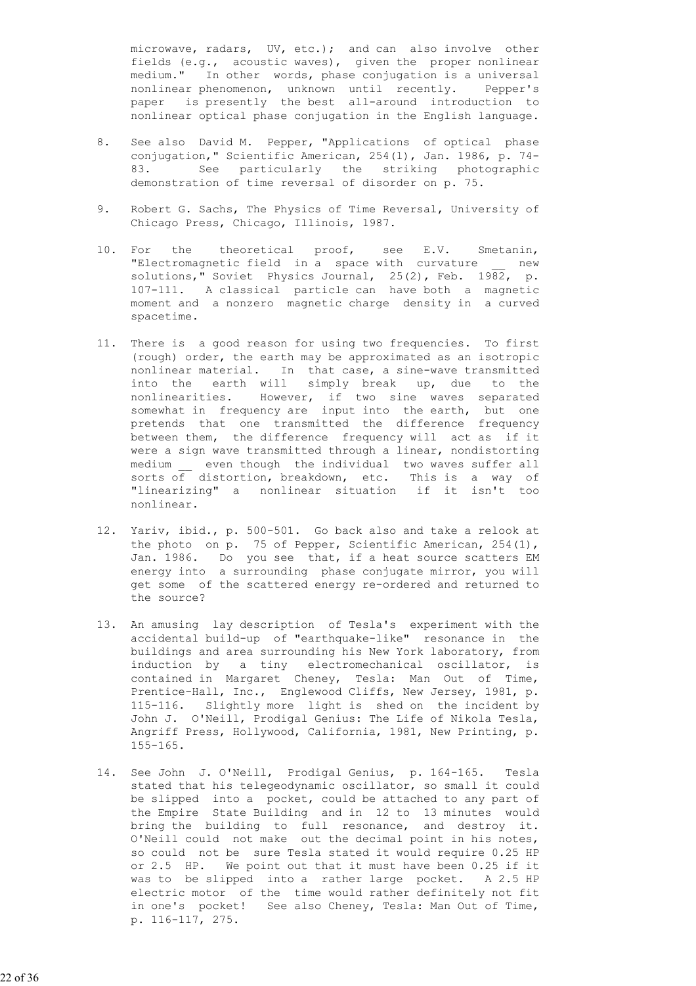microwave, radars, UV, etc.); and can also involve other fields (e.g., acoustic waves), given the proper nonlinear medium." In other words, phase conjugation is a universal nonlinear phenomenon, unknown until recently. Pepper's paper is presently the best all-around introduction to nonlinear optical phase conjugation in the English language.

- 8. See also David M. Pepper, "Applications of optical phase conjugation," Scientific American, 254(1), Jan. 1986, p. 74- 83. See particularly the striking photographic demonstration of time reversal of disorder on p. 75.
- 9. Robert G. Sachs, The Physics of Time Reversal, University of Chicago Press, Chicago, Illinois, 1987.
- 10. For the theoretical proof, see E.V. Smetanin, "Electromagnetic field in a space with curvature \_\_ new solutions," Soviet Physics Journal, 25(2), Feb. 1982, p. 107-111. A classical particle can have both a magnetic moment and a nonzero magnetic charge density in a curved spacetime.
- 11. There is a good reason for using two frequencies. To first (rough) order, the earth may be approximated as an isotropic nonlinear material. In that case, a sine-wave transmitted into the earth will simply break up, due to the nonlinearities. However, if two sine waves separated somewhat in frequency are input into the earth, but one pretends that one transmitted the difference frequency between them, the difference frequency will act as if it were a sign wave transmitted through a linear, nondistorting medium even though the individual two waves suffer all sorts of distortion, breakdown, etc. This is a way of "linearizing" a nonlinear situation if it isn't too nonlinear.
- 12. Yariv, ibid., p. 500-501. Go back also and take a relook at the photo on p. 75 of Pepper, Scientific American, 254(1), Jan. 1986. Do you see that, if a heat source scatters EM energy into a surrounding phase conjugate mirror, you will get some of the scattered energy re-ordered and returned to the source?
	- 13. An amusing lay description of Tesla's experiment with the accidental build-up of "earthquake-like" resonance in the buildings and area surrounding his New York laboratory, from induction by a tiny electromechanical oscillator, is contained in Margaret Cheney, Tesla: Man Out of Time, Prentice-Hall, Inc., Englewood Cliffs, New Jersey, 1981, p. 115-116. Slightly more light is shed on the incident by John J. O'Neill, Prodigal Genius: The Life of Nikola Tesla, Angriff Press, Hollywood, California, 1981, New Printing, p. 155-165.
	- 14. See John J. O'Neill, Prodigal Genius, p. 164-165. Tesla stated that his telegeodynamic oscillator, so small it could be slipped into a pocket, could be attached to any part of the Empire State Building and in 12 to 13 minutes would bring the building to full resonance, and destroy it. O'Neill could not make out the decimal point in his notes, so could not be sure Tesla stated it would require 0.25 HP or 2.5 HP. We point out that it must have been 0.25 if it was to be slipped into a rather large pocket. A 2.5 HP electric motor of the time would rather definitely not fit in one's pocket! See also Cheney, Tesla: Man Out of Time, p. 116-117, 275.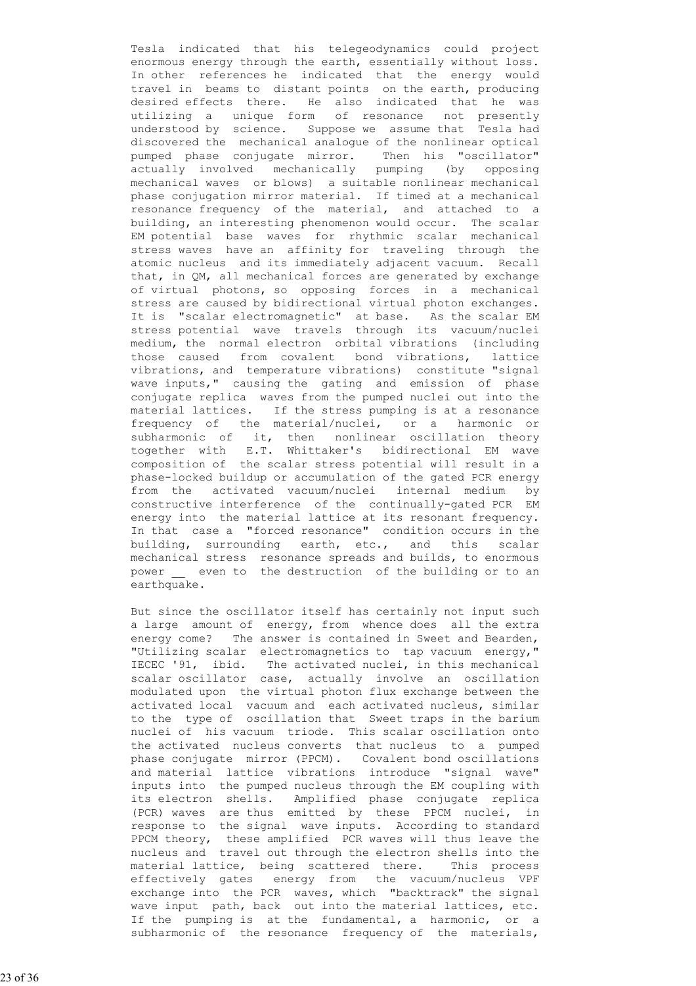Tesla indicated that his telegeodynamics could project enormous energy through the earth, essentially without loss. In other references he indicated that the energy would travel in beams to distant points on the earth, producing desired effects there. He also indicated that he was utilizing a unique form of resonance not presently understood by science. Suppose we assume that Tesla had discovered the mechanical analogue of the nonlinear optical pumped phase conjugate mirror. Then his "oscillator" actually involved mechanically pumping (by opposing mechanical waves or blows) a suitable nonlinear mechanical phase conjugation mirror material. If timed at a mechanical resonance frequency of the material, and attached to a building, an interesting phenomenon would occur. The scalar EM potential base waves for rhythmic scalar mechanical stress waves have an affinity for traveling through the atomic nucleus and its immediately adjacent vacuum. Recall that, in QM, all mechanical forces are generated by exchange of virtual photons, so opposing forces in a mechanical stress are caused by bidirectional virtual photon exchanges. It is "scalar electromagnetic" at base. As the scalar EM stress potential wave travels through its vacuum/nuclei medium, the normal electron orbital vibrations (including those caused from covalent bond vibrations, lattice vibrations, and temperature vibrations) constitute "signal wave inputs," causing the gating and emission of phase conjugate replica waves from the pumped nuclei out into the material lattices. If the stress pumping is at a resonance frequency of the material/nuclei, or a harmonic or subharmonic of it, then nonlinear oscillation theory together with E.T. Whittaker's bidirectional EM wave composition of the scalar stress potential will result in a phase-locked buildup or accumulation of the gated PCR energy from the activated vacuum/nuclei internal medium by constructive interference of the continually-gated PCR EM energy into the material lattice at its resonant frequency. In that case a "forced resonance" condition occurs in the building, surrounding earth, etc., and this scalar mechanical stress resonance spreads and builds, to enormous power <u>even</u> to the destruction of the building or to an earthquake.

> But since the oscillator itself has certainly not input such a large amount of energy, from whence does all the extra energy come? The answer is contained in Sweet and Bearden, "Utilizing scalar electromagnetics to tap vacuum energy," IECEC '91, ibid. The activated nuclei, in this mechanical scalar oscillator case, actually involve an oscillation modulated upon the virtual photon flux exchange between the activated local vacuum and each activated nucleus, similar to the type of oscillation that Sweet traps in the barium nuclei of his vacuum triode. This scalar oscillation onto the activated nucleus converts that nucleus to a pumped phase conjugate mirror (PPCM). Covalent bond oscillations and material lattice vibrations introduce "signal wave" inputs into the pumped nucleus through the EM coupling with its electron shells. Amplified phase conjugate replica (PCR) waves are thus emitted by these PPCM nuclei, in response to the signal wave inputs. According to standard PPCM theory, these amplified PCR waves will thus leave the nucleus and travel out through the electron shells into the material lattice, being scattered there. This process effectively gates energy from the vacuum/nucleus VPF exchange into the PCR waves, which "backtrack" the signal wave input path, back out into the material lattices, etc. If the pumping is at the fundamental, a harmonic, or a subharmonic of the resonance frequency of the materials,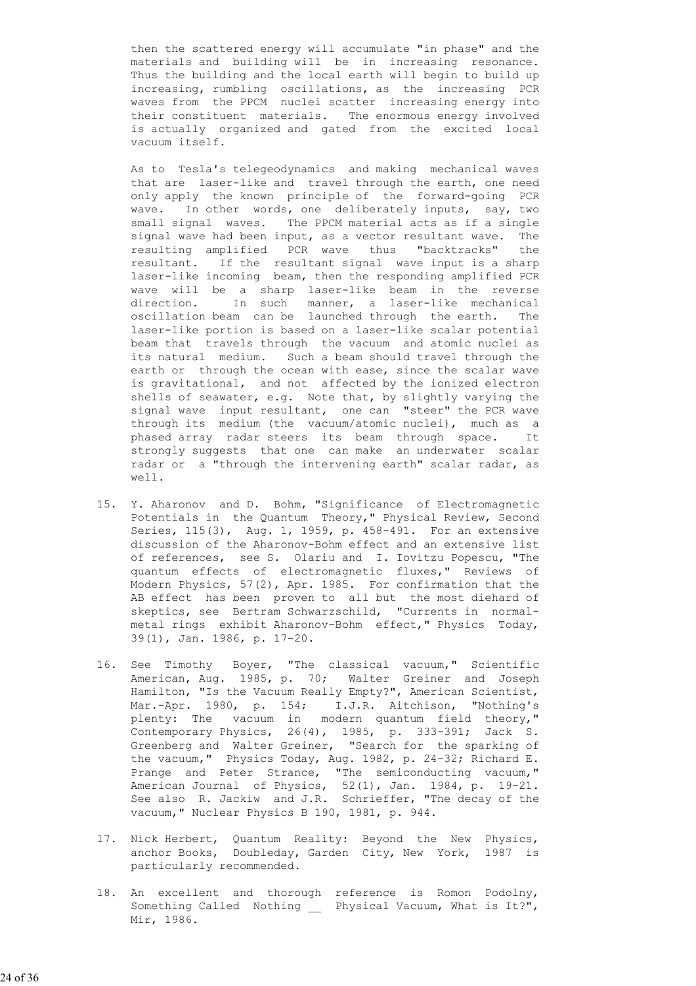then the scattered energy will accumulate "in phase" and the materials and building will be in increasing resonance. Thus the building and the local earth will begin to build up increasing, rumbling oscillations, as the increasing PCR waves from the PPCM nuclei scatter increasing energy into their constituent materials. The enormous energy involved is actually organized and gated from the excited local vacuum itself.

 As to Tesla's telegeodynamics and making mechanical waves that are laser-like and travel through the earth, one need only apply the known principle of the forward-going PCR wave. In other words, one deliberately inputs, say, two small signal waves. The PPCM material acts as if a single signal wave had been input, as a vector resultant wave. The resulting amplified PCR wave thus "backtracks" the resultant. If the resultant signal wave input is a sharp laser-like incoming beam, then the responding amplified PCR wave will be a sharp laser-like beam in the reverse direction. In such manner, a laser-like mechanical oscillation beam can be launched through the earth. The laser-like portion is based on a laser-like scalar potential beam that travels through the vacuum and atomic nuclei as its natural medium. Such a beam should travel through the earth or through the ocean with ease, since the scalar wave is gravitational, and not affected by the ionized electron shells of seawater, e.g. Note that, by slightly varying the signal wave input resultant, one can "steer" the PCR wave through its medium (the vacuum/atomic nuclei), much as a phased array radar steers its beam through space. It strongly suggests that one can make an underwater scalar radar or a "through the intervening earth" scalar radar, as well.

- 15. Y. Aharonov and D. Bohm, "Significance of Electromagnetic Potentials in the Quantum Theory," Physical Review, Second Series, 115(3), Aug. 1, 1959, p. 458-491. For an extensive discussion of the Aharonov-Bohm effect and an extensive list of references, see S. Olariu and I. Iovitzu Popescu, "The quantum effects of electromagnetic fluxes," Reviews of Modern Physics, 57(2), Apr. 1985. For confirmation that the AB effect has been proven to all but the most diehard of skeptics, see Bertram Schwarzschild, "Currents in normal metal rings exhibit Aharonov-Bohm effect," Physics Today, 39(1), Jan. 1986, p. 17-20.
- 16. See Timothy Boyer, "The classical vacuum," Scientific American, Aug. 1985, p. 70; Walter Greiner and Joseph Hamilton, "Is the Vacuum Really Empty?", American Scientist, Mar.-Apr. 1980, p. 154; I.J.R. Aitchison, "Nothing's plenty: The vacuum in modern quantum field theory," Contemporary Physics, 26(4), 1985, p. 333-391; Jack S. Greenberg and Walter Greiner, "Search for the sparking of the vacuum," Physics Today, Aug. 1982, p. 24-32; Richard E. Prange and Peter Strance, "The semiconducting vacuum," American Journal of Physics, 52(1), Jan. 1984, p. 19-21. See also R. Jackiw and J.R. Schrieffer, "The decay of the vacuum," Nuclear Physics B 190, 1981, p. 944.
- 17. Nick Herbert, Quantum Reality: Beyond the New Physics, anchor Books, Doubleday, Garden City, New York, 1987 is particularly recommended.
- 18. An excellent and thorough reference is Romon Podolny, Something Called Nothing \_\_ Physical Vacuum, What is It?", Mir, 1986.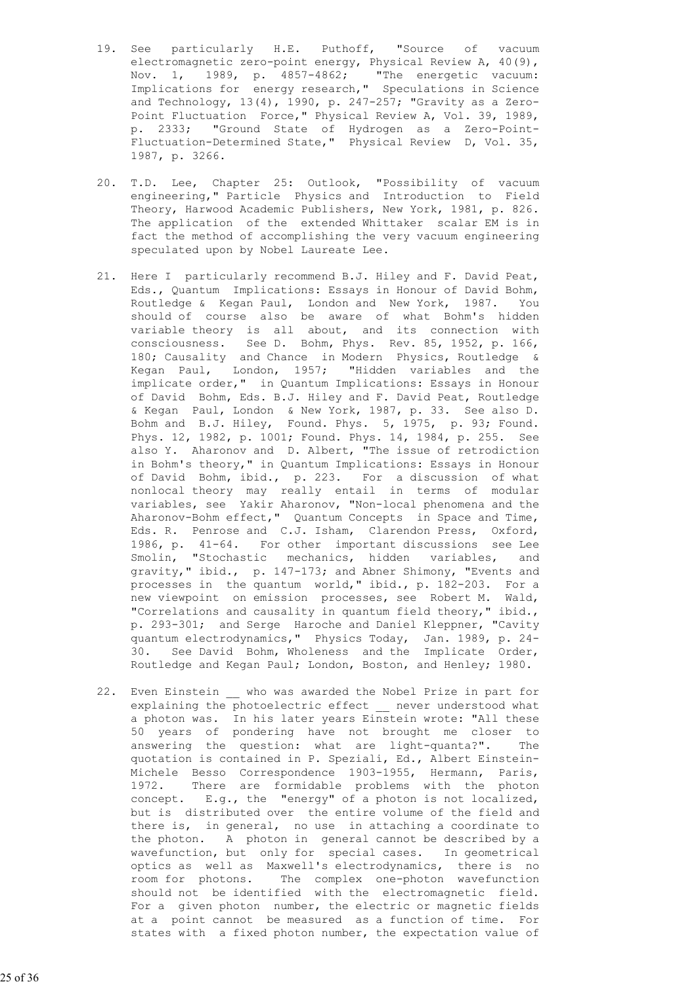- 19. See particularly H.E. Puthoff, "Source of vacuum electromagnetic zero-point energy, Physical Review A, 40(9), Nov. 1, 1989, p. 4857-4862; "The energetic vacuum: Implications for energy research," Speculations in Science and Technology, 13(4), 1990, p. 247-257; "Gravity as a Zero- Point Fluctuation Force," Physical Review A, Vol. 39, 1989, p. 2333; "Ground State of Hydrogen as a Zero-Point- Fluctuation-Determined State," Physical Review D, Vol. 35, 1987, p. 3266.
- 20. T.D. Lee, Chapter 25: Outlook, "Possibility of vacuum engineering," Particle Physics and Introduction to Field Theory, Harwood Academic Publishers, New York, 1981, p. 826. The application of the extended Whittaker scalar EM is in fact the method of accomplishing the very vacuum engineering speculated upon by Nobel Laureate Lee.
- 21. Here I particularly recommend B.J. Hiley and F. David Peat, Eds., Quantum Implications: Essays in Honour of David Bohm, Routledge & Kegan Paul, London and New York, 1987. You should of course also be aware of what Bohm's hidden variable theory is all about, and its connection with consciousness. See D. Bohm, Phys. Rev. 85, 1952, p. 166, 180; Causality and Chance in Modern Physics, Routledge & Kegan Paul, London, 1957; "Hidden variables and the implicate order," in Quantum Implications: Essays in Honour of David Bohm, Eds. B.J. Hiley and F. David Peat, Routledge & Kegan Paul, London & New York, 1987, p. 33. See also D. Bohm and B.J. Hiley, Found. Phys. 5, 1975, p. 93; Found. Phys. 12, 1982, p. 1001; Found. Phys. 14, 1984, p. 255. See also Y. Aharonov and D. Albert, "The issue of retrodiction in Bohm's theory," in Quantum Implications: Essays in Honour of David Bohm, ibid., p. 223. For a discussion of what nonlocal theory may really entail in terms of modular variables, see Yakir Aharonov, "Non-local phenomena and the Aharonov-Bohm effect," Quantum Concepts in Space and Time, Eds. R. Penrose and C.J. Isham, Clarendon Press, Oxford, 1986, p. 41-64. For other important discussions see Lee Smolin, "Stochastic mechanics, hidden variables, and gravity," ibid., p. 147-173; and Abner Shimony, "Events and processes in the quantum world," ibid., p. 182-203. For a new viewpoint on emission processes, see Robert M. Wald, "Correlations and causality in quantum field theory," ibid., p. 293-301; and Serge Haroche and Daniel Kleppner, "Cavity quantum electrodynamics," Physics Today, Jan. 1989, p. 24- 30. See David Bohm, Wholeness and the Implicate Order, Routledge and Kegan Paul; London, Boston, and Henley; 1980.
	- 22. Even Einstein who was awarded the Nobel Prize in part for explaining the photoelectric effect \_\_ never understood what a photon was. In his later years Einstein wrote: "All these 50 years of pondering have not brought me closer to answering the question: what are light-quanta?". The quotation is contained in P. Speziali, Ed., Albert Einstein- Michele Besso Correspondence 1903-1955, Hermann, Paris, 1972. There are formidable problems with the photon concept. E.g., the "energy" of a photon is not localized, but is distributed over the entire volume of the field and there is, in general, no use in attaching a coordinate to the photon. A photon in general cannot be described by a wavefunction, but only for special cases. In geometrical optics as well as Maxwell's electrodynamics, there is no room for photons. The complex one-photon wavefunction should not be identified with the electromagnetic field. For a given photon number, the electric or magnetic fields at a point cannot be measured as a function of time. For states with a fixed photon number, the expectation value of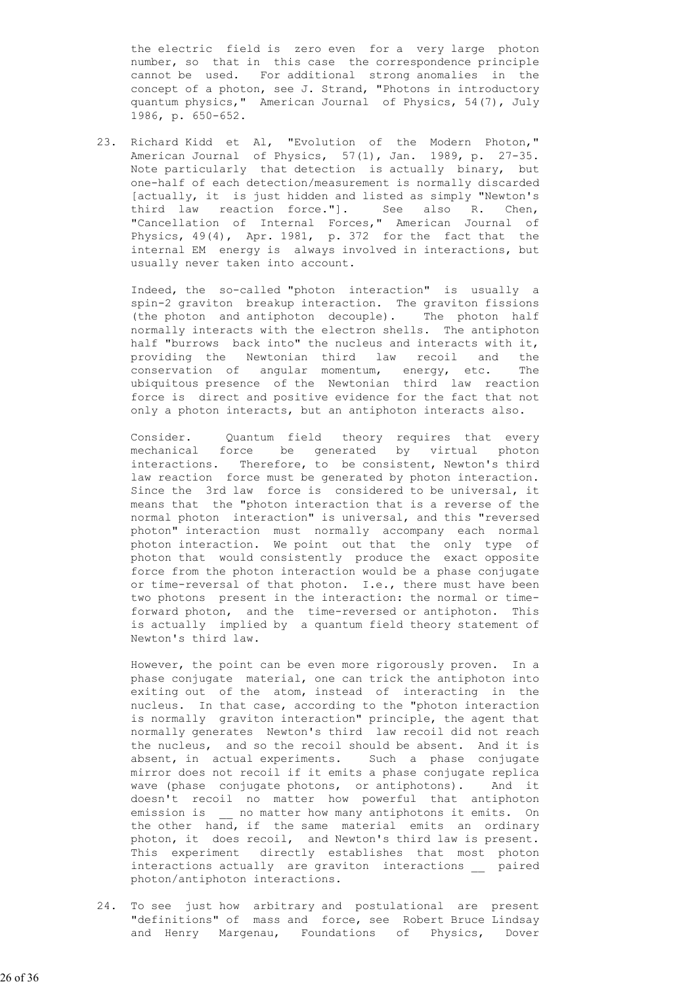the electric field is zero even for a very large photon number, so that in this case the correspondence principle cannot be used. For additional strong anomalies in the concept of a photon, see J. Strand, "Photons in introductory quantum physics," American Journal of Physics, 54(7), July 1986, p. 650-652.

 23. Richard Kidd et Al, "Evolution of the Modern Photon," American Journal of Physics, 57(1), Jan. 1989, p. 27-35. Note particularly that detection is actually binary, but one-half of each detection/measurement is normally discarded [actually, it is just hidden and listed as simply "Newton's third law reaction force."]. See also R. Chen, "Cancellation of Internal Forces," American Journal of Physics, 49(4), Apr. 1981, p. 372 for the fact that the internal EM energy is always involved in interactions, but usually never taken into account.

> Indeed, the so-called "photon interaction" is usually a spin-2 graviton breakup interaction. The graviton fissions (the photon and antiphoton decouple). The photon half normally interacts with the electron shells. The antiphoton half "burrows back into" the nucleus and interacts with it, providing the Newtonian third law recoil and the conservation of angular momentum, energy, etc. The ubiquitous presence of the Newtonian third law reaction force is direct and positive evidence for the fact that not only a photon interacts, but an antiphoton interacts also.

 Consider. Quantum field theory requires that every mechanical force be generated by virtual photon interactions. Therefore, to be consistent, Newton's third law reaction force must be generated by photon interaction. Since the 3rd law force is considered to be universal, it means that the "photon interaction that is a reverse of the normal photon interaction" is universal, and this "reversed photon" interaction must normally accompany each normal photon interaction. We point out that the only type of photon that would consistently produce the exact opposite force from the photon interaction would be a phase conjugate or time-reversal of that photon. I.e., there must have been two photons present in the interaction: the normal or time forward photon, and the time-reversed or antiphoton. This is actually implied by a quantum field theory statement of Newton's third law.

> However, the point can be even more rigorously proven. In a phase conjugate material, one can trick the antiphoton into exiting out of the atom, instead of interacting in the nucleus. In that case, according to the "photon interaction is normally graviton interaction" principle, the agent that normally generates Newton's third law recoil did not reach the nucleus, and so the recoil should be absent. And it is absent, in actual experiments. Such a phase conjugate mirror does not recoil if it emits a phase conjugate replica wave (phase conjugate photons, or antiphotons). And it doesn't recoil no matter how powerful that antiphoton emission is \_\_ no matter how many antiphotons it emits. On the other hand, if the same material emits an ordinary photon, it does recoil, and Newton's third law is present. This experiment directly establishes that most photon interactions actually are graviton interactions \_\_ paired photon/antiphoton interactions.

 24. To see just how arbitrary and postulational are present "definitions" of mass and force, see Robert Bruce Lindsay and Henry Margenau, Foundations of Physics, Dover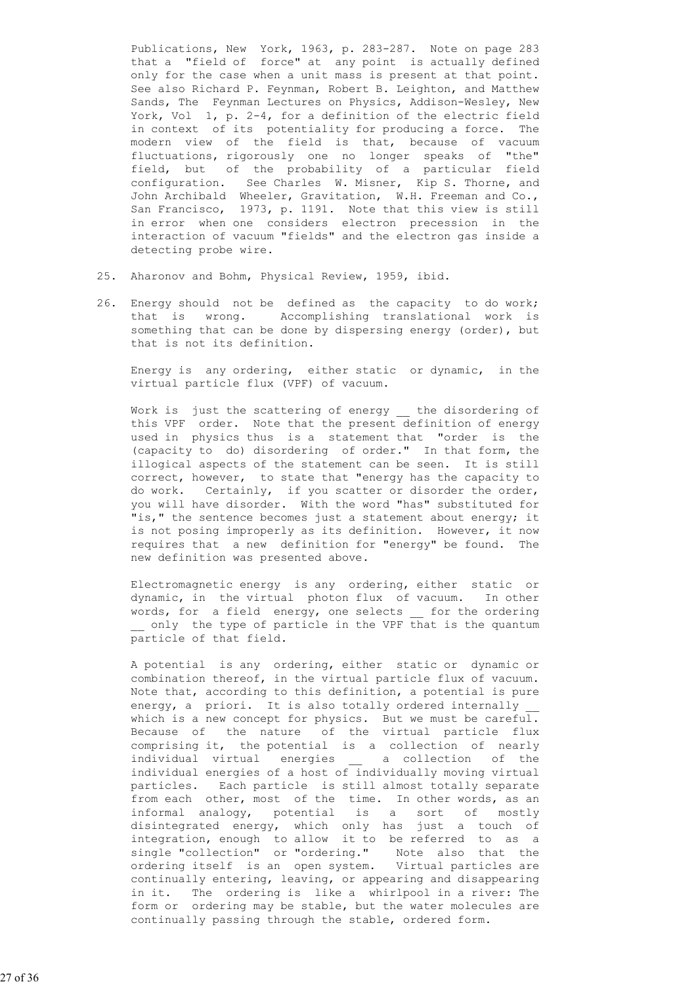Publications, New York, 1963, p. 283-287. Note on page 283 that a "field of force" at any point is actually defined only for the case when a unit mass is present at that point. See also Richard P. Feynman, Robert B. Leighton, and Matthew Sands, The Feynman Lectures on Physics, Addison-Wesley, New York, Vol 1, p. 2-4, for a definition of the electric field in context of its potentiality for producing a force. The modern view of the field is that, because of vacuum fluctuations, rigorously one no longer speaks of "the" field, but of the probability of a particular field configuration. See Charles W. Misner, Kip S. Thorne, and John Archibald Wheeler, Gravitation, W.H. Freeman and Co., San Francisco, 1973, p. 1191. Note that this view is still in error when one considers electron precession in the interaction of vacuum "fields" and the electron gas inside a detecting probe wire.

- 25. Aharonov and Bohm, Physical Review, 1959, ibid.
- 26. Energy should not be defined as the capacity to do work; that is wrong. Accomplishing translational work is something that can be done by dispersing energy (order), but that is not its definition.

 Energy is any ordering, either static or dynamic, in the virtual particle flux (VPF) of vacuum.

Work is just the scattering of energy the disordering of this VPF order. Note that the present definition of energy used in physics thus is a statement that "order is the (capacity to do) disordering of order." In that form, the illogical aspects of the statement can be seen. It is still correct, however, to state that "energy has the capacity to do work. Certainly, if you scatter or disorder the order, you will have disorder. With the word "has" substituted for "is," the sentence becomes just a statement about energy; it is not posing improperly as its definition. However, it now requires that a new definition for "energy" be found. The new definition was presented above.

 Electromagnetic energy is any ordering, either static or dynamic, in the virtual photon flux of vacuum. In other words, for a field energy, one selects \_\_ for the ordering \_\_ only the type of particle in the VPF that is the quantum particle of that field.

 A potential is any ordering, either static or dynamic or combination thereof, in the virtual particle flux of vacuum. Note that, according to this definition, a potential is pure energy, a priori. It is also totally ordered internally which is a new concept for physics. But we must be careful. Because of the nature of the virtual particle flux comprising it, the potential is a collection of nearly individual virtual energies a collection of the individual energies of a host of individually moving virtual particles. Each particle is still almost totally separate from each other, most of the time. In other words, as an informal analogy, potential is a sort of mostly disintegrated energy, which only has just a touch of integration, enough to allow it to be referred to as a single "collection" or "ordering." Note also that the ordering itself is an open system. Virtual particles are continually entering, leaving, or appearing and disappearing in it. The ordering is like a whirlpool in a river: The form or ordering may be stable, but the water molecules are continually passing through the stable, ordered form.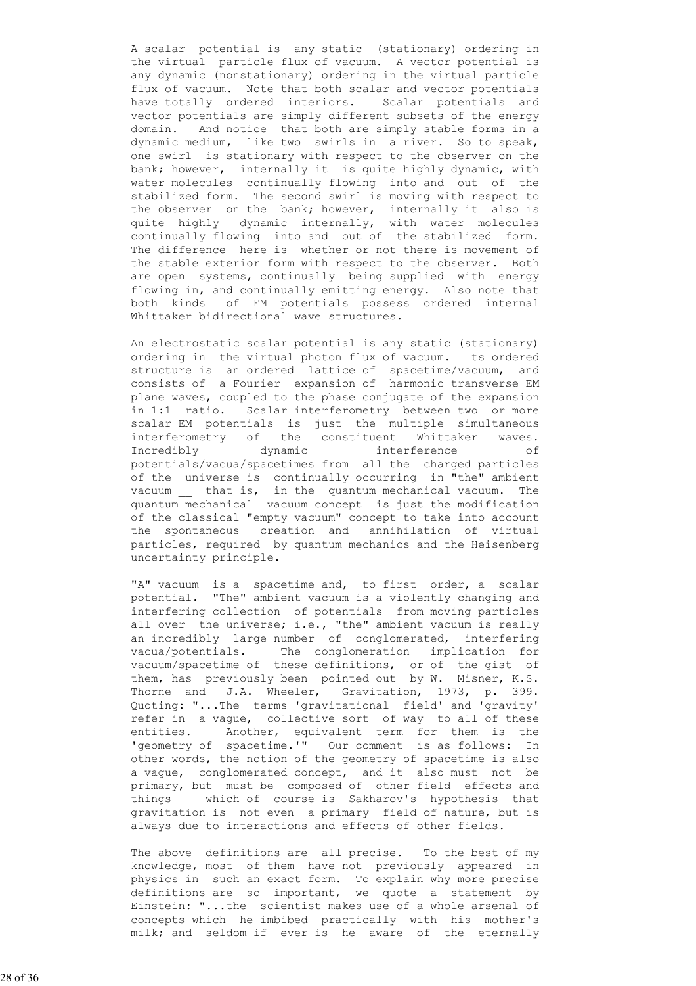A scalar potential is any static (stationary) ordering in the virtual particle flux of vacuum. A vector potential is any dynamic (nonstationary) ordering in the virtual particle flux of vacuum. Note that both scalar and vector potentials have totally ordered interiors. Scalar potentials and vector potentials are simply different subsets of the energy domain. And notice that both are simply stable forms in a dynamic medium, like two swirls in a river. So to speak, one swirl is stationary with respect to the observer on the bank; however, internally it is quite highly dynamic, with water molecules continually flowing into and out of the stabilized form. The second swirl is moving with respect to the observer on the bank; however, internally it also is quite highly dynamic internally, with water molecules continually flowing into and out of the stabilized form. The difference here is whether or not there is movement of the stable exterior form with respect to the observer. Both are open systems, continually being supplied with energy flowing in, and continually emitting energy. Also note that both kinds of EM potentials possess ordered internal Whittaker bidirectional wave structures.

 An electrostatic scalar potential is any static (stationary) ordering in the virtual photon flux of vacuum. Its ordered structure is an ordered lattice of spacetime/vacuum, and consists of a Fourier expansion of harmonic transverse EM plane waves, coupled to the phase conjugate of the expansion in 1:1 ratio. Scalar interferometry between two or more scalar EM potentials is just the multiple simultaneous interferometry of the constituent Whittaker waves. Incredibly dynamic interference of potentials/vacua/spacetimes from all the charged particles of the universe is continually occurring in "the" ambient vacuum \_\_ that is, in the quantum mechanical vacuum. The quantum mechanical vacuum concept is just the modification of the classical "empty vacuum" concept to take into account the spontaneous creation and annihilation of virtual particles, required by quantum mechanics and the Heisenberg uncertainty principle.

"A" vacuum is a spacetime and, to first order, a scalar potential. "The" ambient vacuum is a violently changing and interfering collection of potentials from moving particles all over the universe; i.e., "the" ambient vacuum is really an incredibly large number of conglomerated, interfering vacua/potentials. The conglomeration implication for vacuum/spacetime of these definitions, or of the gist of them, has previously been pointed out by W. Misner, K.S. Thorne and J.A. Wheeler, Gravitation, 1973, p. 399. Quoting: "...The terms 'gravitational field' and 'gravity' refer in a vague, collective sort of way to all of these entities. Another, equivalent term for them is the 'geometry of spacetime.'" Our comment is as follows: In other words, the notion of the geometry of spacetime is also a vague, conglomerated concept, and it also must not be primary, but must be composed of other field effects and things \_\_ which of course is Sakharov's hypothesis that gravitation is not even a primary field of nature, but is always due to interactions and effects of other fields.

> The above definitions are all precise. To the best of my knowledge, most of them have not previously appeared in physics in such an exact form. To explain why more precise definitions are so important, we quote a statement by Einstein: "...the scientist makes use of a whole arsenal of concepts which he imbibed practically with his mother's milk; and seldom if ever is he aware of the eternally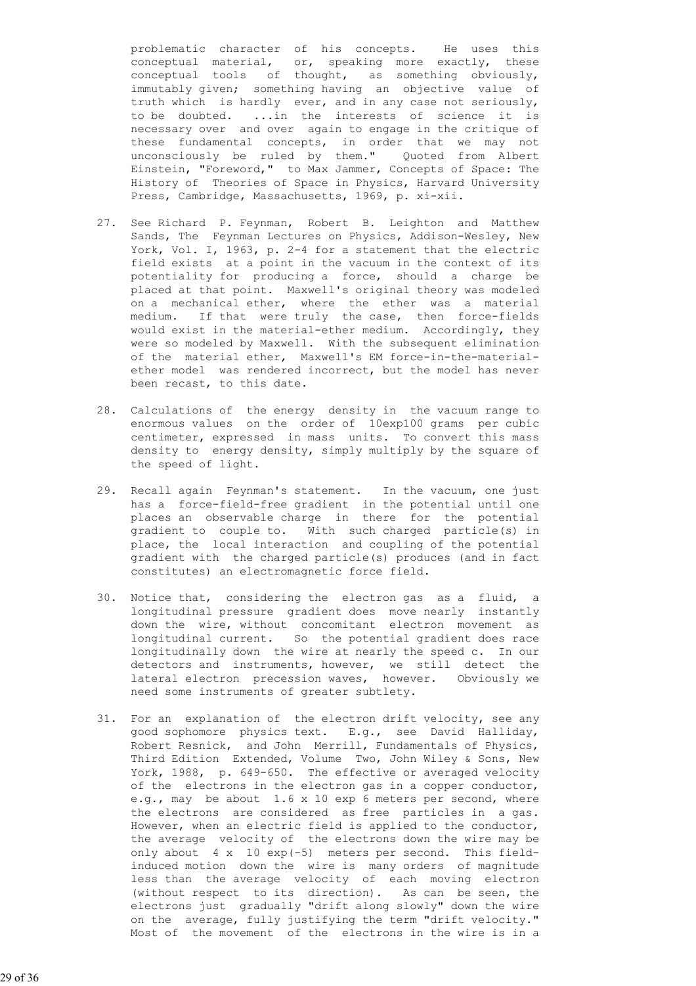problematic character of his concepts. He uses this conceptual material, or, speaking more exactly, these conceptual tools of thought, as something obviously, immutably given; something having an objective value of truth which is hardly ever, and in any case not seriously, to be doubted. ...in the interests of science it is necessary over and over again to engage in the critique of these fundamental concepts, in order that we may not unconsciously be ruled by them." Quoted from Albert Einstein, "Foreword," to Max Jammer, Concepts of Space: The History of Theories of Space in Physics, Harvard University Press, Cambridge, Massachusetts, 1969, p. xi-xii.

- 27. See Richard P. Feynman, Robert B. Leighton and Matthew Sands, The Feynman Lectures on Physics, Addison-Wesley, New York, Vol. I, 1963, p. 2-4 for a statement that the electric field exists at a point in the vacuum in the context of its potentiality for producing a force, should a charge be placed at that point. Maxwell's original theory was modeled on a mechanical ether, where the ether was a material medium. If that were truly the case, then force-fields would exist in the material-ether medium. Accordingly, they were so modeled by Maxwell. With the subsequent elimination of the material ether, Maxwell's EM force-in-the-material ether model was rendered incorrect, but the model has never been recast, to this date.
- 28. Calculations of the energy density in the vacuum range to enormous values on the order of 10exp100 grams per cubic centimeter, expressed in mass units. To convert this mass density to energy density, simply multiply by the square of the speed of light.
- 29. Recall again Feynman's statement. In the vacuum, one just has a force-field-free gradient in the potential until one places an observable charge in there for the potential gradient to couple to. With such charged particle(s) in place, the local interaction and coupling of the potential gradient with the charged particle(s) produces (and in fact constitutes) an electromagnetic force field.
- 30. Notice that, considering the electron gas as a fluid, a longitudinal pressure gradient does move nearly instantly down the wire, without concomitant electron movement as longitudinal current. So the potential gradient does race longitudinally down the wire at nearly the speed c. In our detectors and instruments, however, we still detect the lateral electron precession waves, however. Obviously we need some instruments of greater subtlety.
	- 31. For an explanation of the electron drift velocity, see any good sophomore physics text. E.g., see David Halliday, Robert Resnick, and John Merrill, Fundamentals of Physics, Third Edition Extended, Volume Two, John Wiley & Sons, New York, 1988, p. 649-650. The effective or averaged velocity of the electrons in the electron gas in a copper conductor, e.g., may be about 1.6 x 10 exp 6 meters per second, where the electrons are considered as free particles in a gas. However, when an electric field is applied to the conductor, the average velocity of the electrons down the wire may be only about 4 x 10 exp(-5) meters per second. This field induced motion down the wire is many orders of magnitude less than the average velocity of each moving electron (without respect to its direction). As can be seen, the electrons just gradually "drift along slowly" down the wire on the average, fully justifying the term "drift velocity." Most of the movement of the electrons in the wire is in a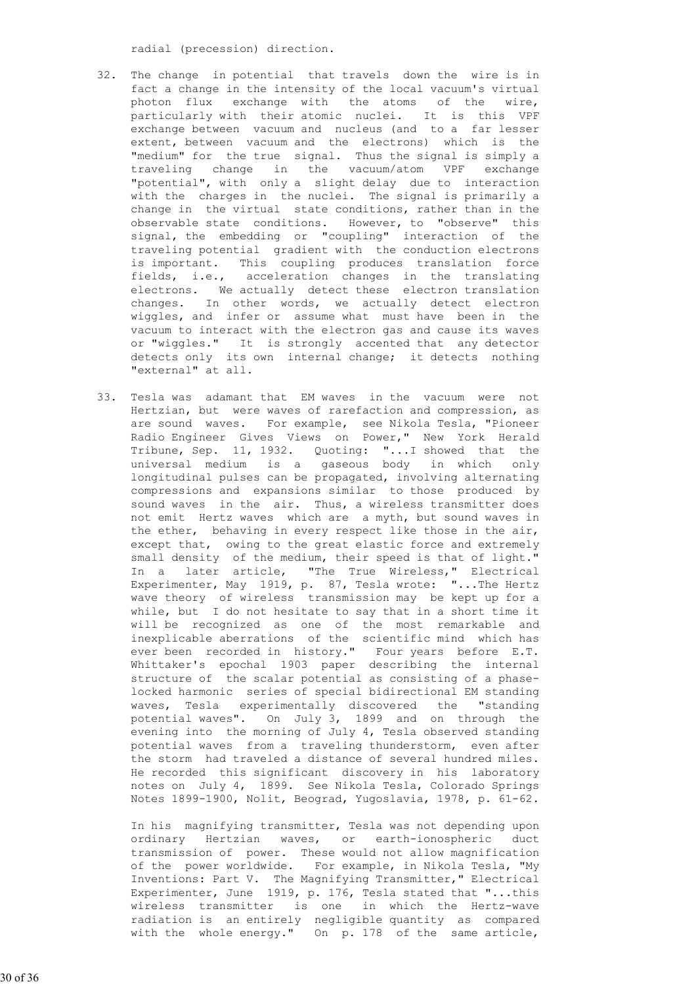radial (precession) direction.

- 32. The change in potential that travels down the wire is in fact a change in the intensity of the local vacuum's virtual photon flux exchange with the atoms of the wire, particularly with their atomic nuclei. It is this VPF exchange between vacuum and nucleus (and to a far lesser extent, between vacuum and the electrons) which is the "medium" for the true signal. Thus the signal is simply a traveling change in the vacuum/atom VPF exchange "potential", with only a slight delay due to interaction with the charges in the nuclei. The signal is primarily a change in the virtual state conditions, rather than in the observable state conditions. However, to "observe" this signal, the embedding or "coupling" interaction of the traveling potential gradient with the conduction electrons is important. This coupling produces translation force fields, i.e., acceleration changes in the translating electrons. We actually detect these electron translation changes. In other words, we actually detect electron wiggles, and infer or assume what must have been in the vacuum to interact with the electron gas and cause its waves or "wiggles." It is strongly accented that any detector detects only its own internal change; it detects nothing "external" at all.
- 33. Tesla was adamant that EM waves in the vacuum were not Hertzian, but were waves of rarefaction and compression, as are sound waves. For example, see Nikola Tesla, "Pioneer Radio Engineer Gives Views on Power," New York Herald Tribune, Sep. 11, 1932. Quoting: "...I showed that the universal medium is a gaseous body in which only longitudinal pulses can be propagated, involving alternating compressions and expansions similar to those produced by sound waves in the air. Thus, a wireless transmitter does not emit Hertz waves which are a myth, but sound waves in the ether, behaving in every respect like those in the air, except that, owing to the great elastic force and extremely small density of the medium, their speed is that of light." In a later article, "The True Wireless," Electrical Experimenter, May 1919, p. 87, Tesla wrote: "...The Hertz wave theory of wireless transmission may be kept up for a while, but I do not hesitate to say that in a short time it will be recognized as one of the most remarkable and inexplicable aberrations of the scientific mind which has ever been recorded in history." Four years before E.T. Whittaker's epochal 1903 paper describing the internal structure of the scalar potential as consisting of a phase locked harmonic series of special bidirectional EM standing waves, Tesla experimentally discovered the "standing potential waves". On July 3, 1899 and on through the evening into the morning of July 4, Tesla observed standing potential waves from a traveling thunderstorm, even after the storm had traveled a distance of several hundred miles. He recorded this significant discovery in his laboratory notes on July 4, 1899. See Nikola Tesla, Colorado Springs Notes 1899-1900, Nolit, Beograd, Yugoslavia, 1978, p. 61-62.

 In his magnifying transmitter, Tesla was not depending upon ordinary Hertzian waves, or earth-ionospheric duct transmission of power. These would not allow magnification of the power worldwide. For example, in Nikola Tesla, "My Inventions: Part V. The Magnifying Transmitter," Electrical Experimenter, June 1919, p. 176, Tesla stated that "...this wireless transmitter is one in which the Hertz-wave radiation is an entirely negligible quantity as compared with the whole energy." On p. 178 of the same article,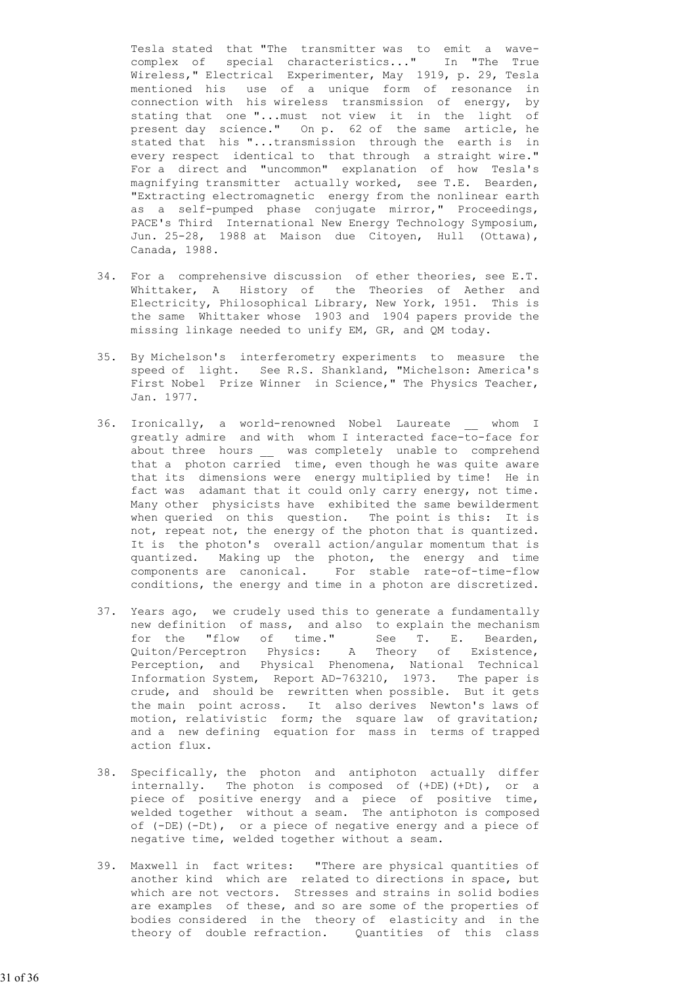Tesla stated that "The transmitter was to emit a wave complex of special characteristics..." In "The True Wireless," Electrical Experimenter, May 1919, p. 29, Tesla mentioned his use of a unique form of resonance in connection with his wireless transmission of energy, by stating that one "...must not view it in the light of present day science." On p. 62 of the same article, he stated that his "...transmission through the earth is in every respect identical to that through a straight wire." For a direct and "uncommon" explanation of how Tesla's magnifying transmitter actually worked, see T.E. Bearden, "Extracting electromagnetic energy from the nonlinear earth as a self-pumped phase conjugate mirror," Proceedings, PACE's Third International New Energy Technology Symposium, Jun. 25-28, 1988 at Maison due Citoyen, Hull (Ottawa), Canada, 1988.

- 34. For a comprehensive discussion of ether theories, see E.T. Whittaker, A History of the Theories of Aether and Electricity, Philosophical Library, New York, 1951. This is the same Whittaker whose 1903 and 1904 papers provide the missing linkage needed to unify EM, GR, and QM today.
- 35. By Michelson's interferometry experiments to measure the speed of light. See R.S. Shankland, "Michelson: America's First Nobel Prize Winner in Science," The Physics Teacher, Jan. 1977.
- 36. Ironically, a world-renowned Nobel Laureate whom I greatly admire and with whom I interacted face-to-face for about three hours \_\_ was completely unable to comprehend that a photon carried time, even though he was quite aware that its dimensions were energy multiplied by time! He in fact was adamant that it could only carry energy, not time. Many other physicists have exhibited the same bewilderment when queried on this question. The point is this: It is not, repeat not, the energy of the photon that is quantized. It is the photon's overall action/angular momentum that is quantized. Making up the photon, the energy and time components are canonical. For stable rate-of-time-flow conditions, the energy and time in a photon are discretized.
- 37. Years ago, we crudely used this to generate a fundamentally new definition of mass, and also to explain the mechanism for the "flow of time." See T. E. Bearden, Quiton/Perceptron Physics: A Theory of Existence, Perception, and Physical Phenomena, National Technical Information System, Report AD-763210, 1973. The paper is crude, and should be rewritten when possible. But it gets the main point across. It also derives Newton's laws of motion, relativistic form; the square law of gravitation; and a new defining equation for mass in terms of trapped action flux.
	- 38. Specifically, the photon and antiphoton actually differ internally. The photon is composed of (+DE)(+Dt), or a piece of positive energy and a piece of positive time, welded together without a seam. The antiphoton is composed of (-DE)(-Dt), or a piece of negative energy and a piece of negative time, welded together without a seam.
- 39. Maxwell in fact writes: "There are physical quantities of another kind which are related to directions in space, but which are not vectors. Stresses and strains in solid bodies are examples of these, and so are some of the properties of bodies considered in the theory of elasticity and in the theory of double refraction. Quantities of this class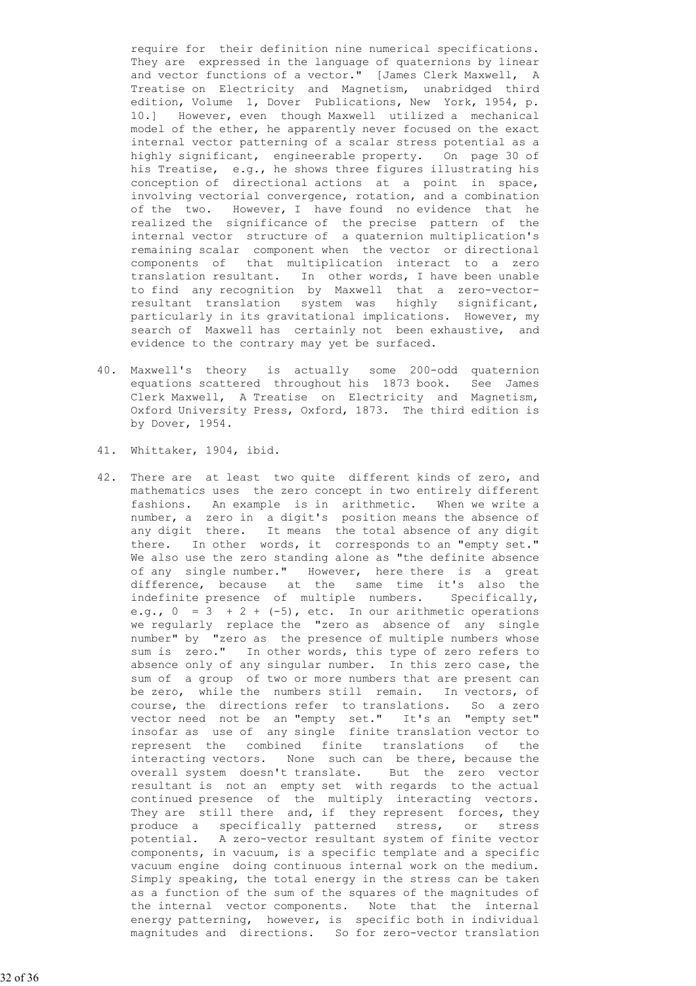require for their definition nine numerical specifications. They are expressed in the language of quaternions by linear and vector functions of a vector." [James Clerk Maxwell, A Treatise on Electricity and Magnetism, unabridged third edition, Volume 1, Dover Publications, New York, 1954, p. 10.] However, even though Maxwell utilized a mechanical model of the ether, he apparently never focused on the exact internal vector patterning of a scalar stress potential as a highly significant, engineerable property. On page 30 of his Treatise, e.g., he shows three figures illustrating his conception of directional actions at a point in space, involving vectorial convergence, rotation, and a combination of the two. However, I have found no evidence that he realized the significance of the precise pattern of the internal vector structure of a quaternion multiplication's remaining scalar component when the vector or directional components of that multiplication interact to a zero translation resultant. In other words, I have been unable to find any recognition by Maxwell that a zero-vector resultant translation system was highly significant, particularly in its gravitational implications. However, my search of Maxwell has certainly not been exhaustive, and evidence to the contrary may yet be surfaced.

- 40. Maxwell's theory is actually some 200-odd quaternion equations scattered throughout his 1873 book. See James Clerk Maxwell, A Treatise on Electricity and Magnetism, Oxford University Press, Oxford, 1873. The third edition is by Dover, 1954.
- 41. Whittaker, 1904, ibid.
- 42. There are at least two quite different kinds of zero, and mathematics uses the zero concept in two entirely different fashions. An example is in arithmetic. When we write a number, a zero in a digit's position means the absence of any digit there. It means the total absence of any digit there. In other words, it corresponds to an "empty set." We also use the zero standing alone as "the definite absence of any single number." However, here there is a great difference, because at the same time it's also the indefinite presence of multiple numbers. Specifically, e.g.,  $0 = 3 + 2 + (-5)$ , etc. In our arithmetic operations we regularly replace the "zero as absence of any single number" by "zero as the presence of multiple numbers whose sum is zero." In other words, this type of zero refers to absence only of any singular number. In this zero case, the sum of a group of two or more numbers that are present can be zero, while the numbers still remain. In vectors, of course, the directions refer to translations. So a zero vector need not be an "empty set." It's an "empty set" insofar as use of any single finite translation vector to represent the combined finite translations of the interacting vectors. None such can be there, because the overall system doesn't translate. But the zero vector resultant is not an empty set with regards to the actual continued presence of the multiply interacting vectors. They are still there and, if they represent forces, they produce a specifically patterned stress, or stress potential. A zero-vector resultant system of finite vector components, in vacuum, is a specific template and a specific vacuum engine doing continuous internal work on the medium. Simply speaking, the total energy in the stress can be taken as a function of the sum of the squares of the magnitudes of the internal vector components. Note that the internal energy patterning, however, is specific both in individual magnitudes and directions. So for zero-vector translation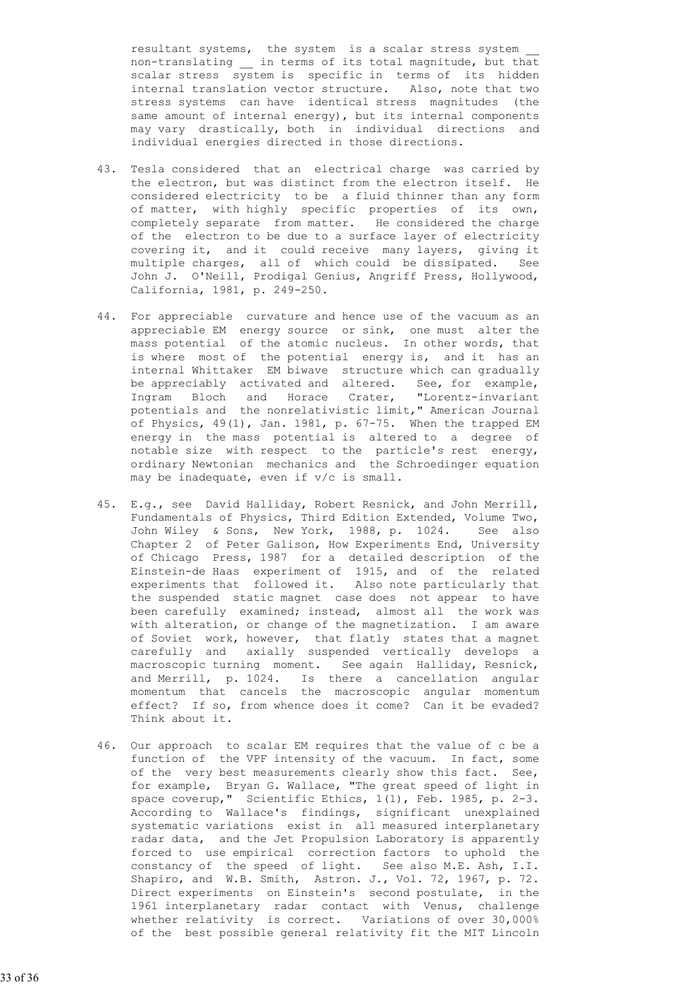resultant systems, the system is a scalar stress system non-translating \_\_ in terms of its total magnitude, but that scalar stress system is specific in terms of its hidden internal translation vector structure. Also, note that two stress systems can have identical stress magnitudes (the same amount of internal energy), but its internal components may vary drastically, both in individual directions and individual energies directed in those directions.

- 43. Tesla considered that an electrical charge was carried by the electron, but was distinct from the electron itself. He considered electricity to be a fluid thinner than any form of matter, with highly specific properties of its own, completely separate from matter. He considered the charge of the electron to be due to a surface layer of electricity covering it, and it could receive many layers, giving it multiple charges, all of which could be dissipated. See John J. O'Neill, Prodigal Genius, Angriff Press, Hollywood, California, 1981, p. 249-250.
- 44. For appreciable curvature and hence use of the vacuum as an appreciable EM energy source or sink, one must alter the mass potential of the atomic nucleus. In other words, that is where most of the potential energy is, and it has an internal Whittaker EM biwave structure which can gradually be appreciably activated and altered. See, for example, Ingram Bloch and Horace Crater, "Lorentz-invariant potentials and the nonrelativistic limit," American Journal of Physics, 49(1), Jan. 1981, p. 67-75. When the trapped EM energy in the mass potential is altered to a degree of notable size with respect to the particle's rest energy, ordinary Newtonian mechanics and the Schroedinger equation may be inadequate, even if v/c is small.
- 45. E.g., see David Halliday, Robert Resnick, and John Merrill, Fundamentals of Physics, Third Edition Extended, Volume Two, John Wiley & Sons, New York, 1988, p. 1024. See also Chapter 2 of Peter Galison, How Experiments End, University of Chicago Press, 1987 for a detailed description of the Einstein-de Haas experiment of 1915, and of the related experiments that followed it. Also note particularly that the suspended static magnet case does not appear to have been carefully examined; instead, almost all the work was with alteration, or change of the magnetization. I am aware of Soviet work, however, that flatly states that a magnet carefully and axially suspended vertically develops a macroscopic turning moment. See again Halliday, Resnick, and Merrill, p. 1024. Is there a cancellation angular momentum that cancels the macroscopic angular momentum effect? If so, from whence does it come? Can it be evaded? Think about it.
- 46. Our approach to scalar EM requires that the value of c be a function of the VPF intensity of the vacuum. In fact, some of the very best measurements clearly show this fact. See, for example, Bryan G. Wallace, "The great speed of light in space coverup," Scientific Ethics, 1(1), Feb. 1985, p. 2-3. According to Wallace's findings, significant unexplained systematic variations exist in all measured interplanetary radar data, and the Jet Propulsion Laboratory is apparently forced to use empirical correction factors to uphold the constancy of the speed of light. See also M.E. Ash, I.I. Shapiro, and W.B. Smith, Astron. J., Vol. 72, 1967, p. 72. Direct experiments on Einstein's second postulate, in the 1961 interplanetary radar contact with Venus, challenge whether relativity is correct. Variations of over 30,000% of the best possible general relativity fit the MIT Lincoln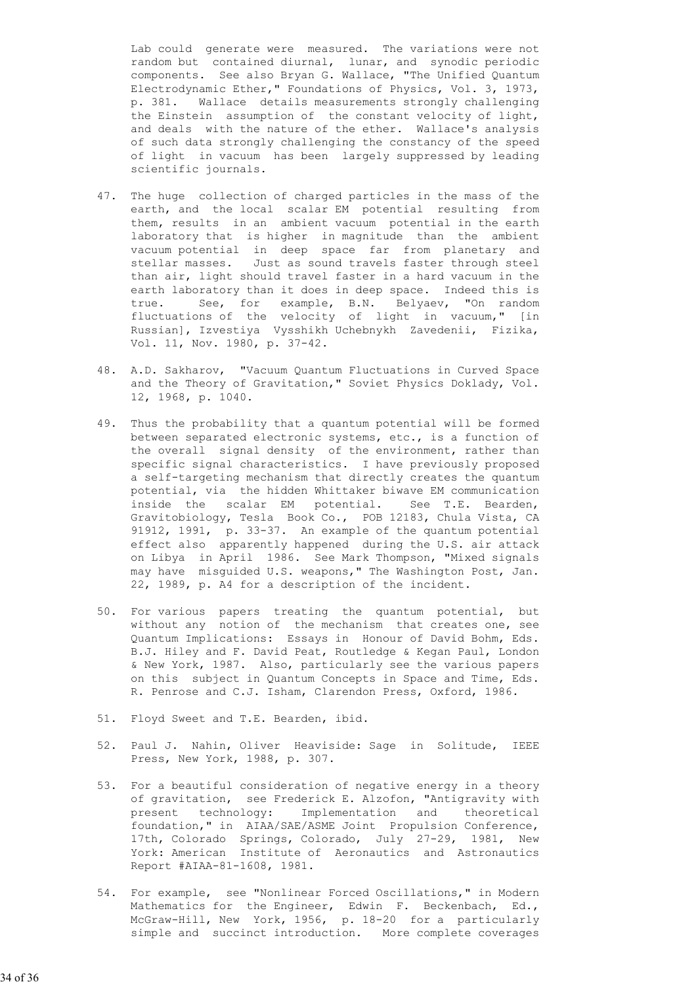Lab could generate were measured. The variations were not random but contained diurnal, lunar, and synodic periodic components. See also Bryan G. Wallace, "The Unified Quantum Electrodynamic Ether," Foundations of Physics, Vol. 3, 1973, p. 381. Wallace details measurements strongly challenging the Einstein assumption of the constant velocity of light, and deals with the nature of the ether. Wallace's analysis of such data strongly challenging the constancy of the speed of light in vacuum has been largely suppressed by leading scientific journals.

- 47. The huge collection of charged particles in the mass of the earth, and the local scalar EM potential resulting from them, results in an ambient vacuum potential in the earth laboratory that is higher in magnitude than the ambient vacuum potential in deep space far from planetary and stellar masses. Just as sound travels faster through steel than air, light should travel faster in a hard vacuum in the earth laboratory than it does in deep space. Indeed this is true. See, for example, B.N. Belyaev, "On random fluctuations of the velocity of light in vacuum," [in Russian], Izvestiya Vysshikh Uchebnykh Zavedenii, Fizika, Vol. 11, Nov. 1980, p. 37-42.
	- 48. A.D. Sakharov, "Vacuum Quantum Fluctuations in Curved Space and the Theory of Gravitation," Soviet Physics Doklady, Vol. 12, 1968, p. 1040.
- 49. Thus the probability that a quantum potential will be formed between separated electronic systems, etc., is a function of the overall signal density of the environment, rather than specific signal characteristics. I have previously proposed a self-targeting mechanism that directly creates the quantum potential, via the hidden Whittaker biwave EM communication inside the scalar EM potential. See T.E. Bearden, Gravitobiology, Tesla Book Co., POB 12183, Chula Vista, CA 91912, 1991, p. 33-37. An example of the quantum potential effect also apparently happened during the U.S. air attack on Libya in April 1986. See Mark Thompson, "Mixed signals may have misguided U.S. weapons," The Washington Post, Jan. 22, 1989, p. A4 for a description of the incident.
	- 50. For various papers treating the quantum potential, but without any notion of the mechanism that creates one, see Quantum Implications: Essays in Honour of David Bohm, Eds. B.J. Hiley and F. David Peat, Routledge & Kegan Paul, London & New York, 1987. Also, particularly see the various papers on this subject in Quantum Concepts in Space and Time, Eds. R. Penrose and C.J. Isham, Clarendon Press, Oxford, 1986.
	- 51. Floyd Sweet and T.E. Bearden, ibid.
	- 52. Paul J. Nahin, Oliver Heaviside: Sage in Solitude, IEEE Press, New York, 1988, p. 307.
	- 53. For a beautiful consideration of negative energy in a theory of gravitation, see Frederick E. Alzofon, "Antigravity with present technology: Implementation and theoretical foundation," in AIAA/SAE/ASME Joint Propulsion Conference, 17th, Colorado Springs, Colorado, July 27-29, 1981, New York: American Institute of Aeronautics and Astronautics Report #AIAA-81-1608, 1981.
	- 54. For example, see "Nonlinear Forced Oscillations," in Modern Mathematics for the Engineer, Edwin F. Beckenbach, Ed., McGraw-Hill, New York, 1956, p. 18-20 for a particularly simple and succinct introduction. More complete coverages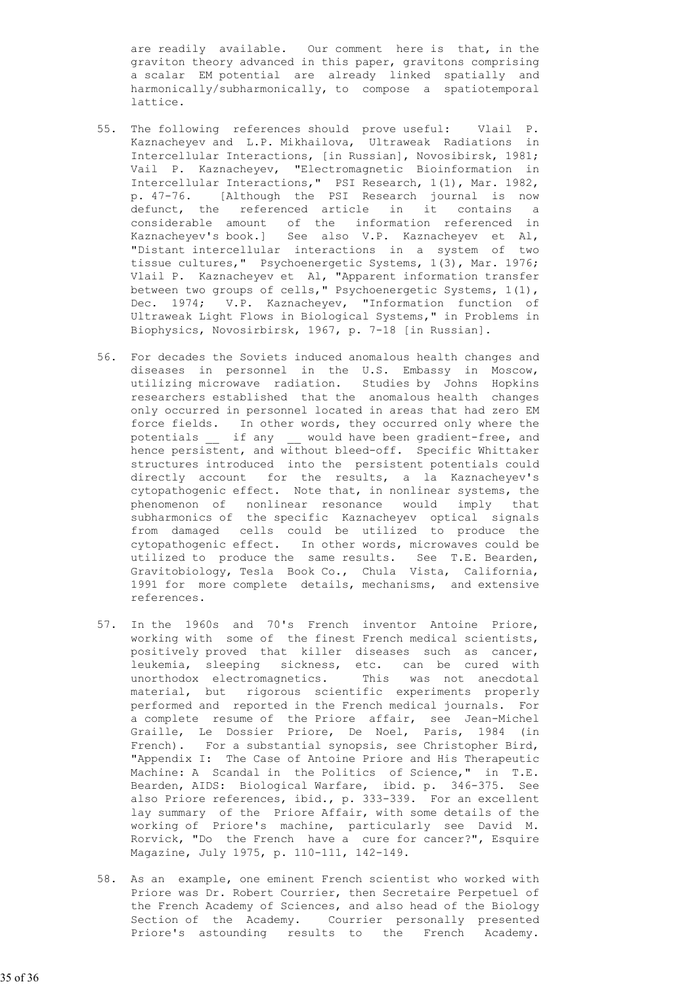are readily available. Our comment here is that, in the graviton theory advanced in this paper, gravitons comprising a scalar EM potential are already linked spatially and harmonically/subharmonically, to compose a spatiotemporal lattice.

- 55. The following references should prove useful: Vlail P. Kaznacheyev and L.P. Mikhailova, Ultraweak Radiations in Intercellular Interactions, [in Russian], Novosibirsk, 1981; Vail P. Kaznacheyev, "Electromagnetic Bioinformation in Intercellular Interactions," PSI Research, 1(1), Mar. 1982, p. 47-76. [Although the PSI Research journal is now defunct, the referenced article in it contains a considerable amount of the information referenced in Kaznacheyev's book.] See also V.P. Kaznacheyev et Al, "Distant intercellular interactions in a system of two tissue cultures," Psychoenergetic Systems, 1(3), Mar. 1976; Vlail P. Kaznacheyev et Al, "Apparent information transfer between two groups of cells," Psychoenergetic Systems, 1(1), Dec. 1974; V.P. Kaznacheyev, "Information function of Ultraweak Light Flows in Biological Systems," in Problems in Biophysics, Novosirbirsk, 1967, p. 7-18 [in Russian].
- 56. For decades the Soviets induced anomalous health changes and diseases in personnel in the U.S. Embassy in Moscow, utilizing microwave radiation. Studies by Johns Hopkins researchers established that the anomalous health changes only occurred in personnel located in areas that had zero EM force fields. In other words, they occurred only where the potentials if any would have been gradient-free, and hence persistent, and without bleed-off. Specific Whittaker structures introduced into the persistent potentials could directly account for the results, a la Kaznacheyev's cytopathogenic effect. Note that, in nonlinear systems, the phenomenon of nonlinear resonance would imply that subharmonics of the specific Kaznacheyev optical signals from damaged cells could be utilized to produce the cytopathogenic effect. In other words, microwaves could be utilized to produce the same results. See T.E. Bearden, Gravitobiology, Tesla Book Co., Chula Vista, California, 1991 for more complete details, mechanisms, and extensive references.
	- 57. In the 1960s and 70's French inventor Antoine Priore, working with some of the finest French medical scientists, positively proved that killer diseases such as cancer, leukemia, sleeping sickness, etc. can be cured with unorthodox electromagnetics. This was not anecdotal material, but rigorous scientific experiments properly performed and reported in the French medical journals. For a complete resume of the Priore affair, see Jean-Michel Graille, Le Dossier Priore, De Noel, Paris, 1984 (in French). For a substantial synopsis, see Christopher Bird, "Appendix I: The Case of Antoine Priore and His Therapeutic Machine: A Scandal in the Politics of Science," in T.E. Bearden, AIDS: Biological Warfare, ibid. p. 346-375. See also Priore references, ibid., p. 333-339. For an excellent lay summary of the Priore Affair, with some details of the working of Priore's machine, particularly see David M. Rorvick, "Do the French have a cure for cancer?", Esquire Magazine, July 1975, p. 110-111, 142-149.
	- 58. As an example, one eminent French scientist who worked with Priore was Dr. Robert Courrier, then Secretaire Perpetuel of the French Academy of Sciences, and also head of the Biology Section of the Academy. Courrier personally presented Priore's astounding results to the French Academy.